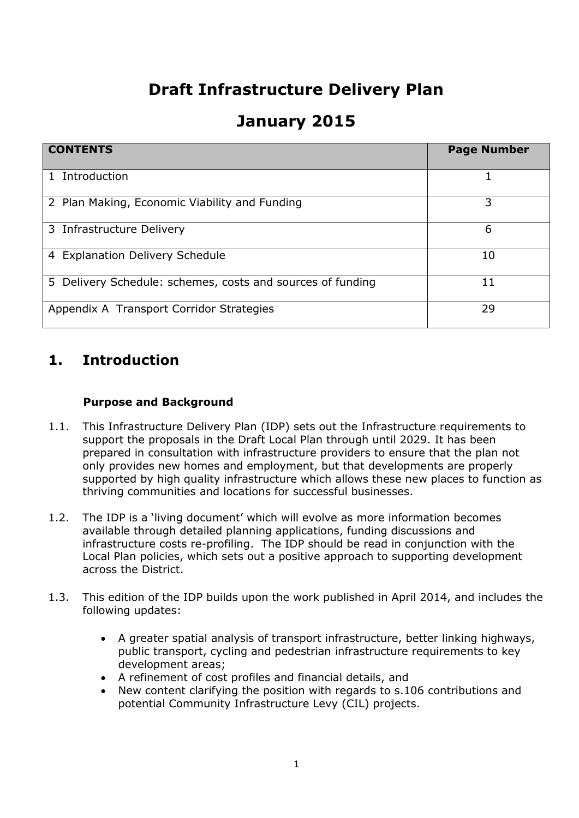# **Draft Infrastructure Delivery Plan**

## **January 2015**

| <b>CONTENTS</b>                                            | <b>Page Number</b> |
|------------------------------------------------------------|--------------------|
| Introduction<br>$\mathbf{1}$                               |                    |
| 2 Plan Making, Economic Viability and Funding              | 3                  |
| 3 Infrastructure Delivery                                  | 6                  |
| 4 Explanation Delivery Schedule                            | 10                 |
| 5 Delivery Schedule: schemes, costs and sources of funding | 11                 |
| Appendix A Transport Corridor Strategies                   | 29                 |

### **1. Introduction**

#### **Purpose and Background**

- 1.1. This Infrastructure Delivery Plan (IDP) sets out the Infrastructure requirements to support the proposals in the Draft Local Plan through until 2029. It has been prepared in consultation with infrastructure providers to ensure that the plan not only provides new homes and employment, but that developments are properly supported by high quality infrastructure which allows these new places to function as thriving communities and locations for successful businesses.
- 1.2. The IDP is a 'living document' which will evolve as more information becomes available through detailed planning applications, funding discussions and infrastructure costs re-profiling. The IDP should be read in conjunction with the Local Plan policies, which sets out a positive approach to supporting development across the District.
- 1.3. This edition of the IDP builds upon the work published in April 2014, and includes the following updates:
	- A greater spatial analysis of transport infrastructure, better linking highways, public transport, cycling and pedestrian infrastructure requirements to key development areas;
	- A refinement of cost profiles and financial details, and
	- New content clarifying the position with regards to s.106 contributions and potential Community Infrastructure Levy (CIL) projects.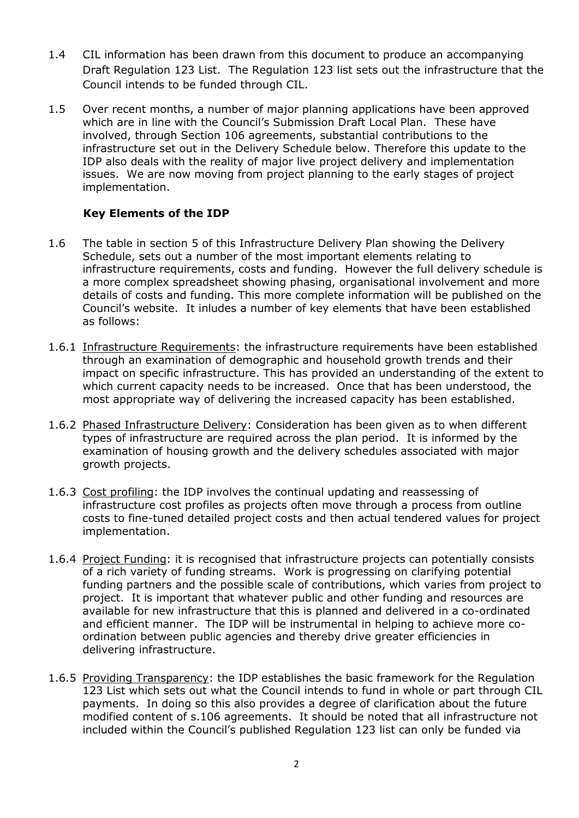- 1.4 CIL information has been drawn from this document to produce an accompanying Draft Regulation 123 List. The Regulation 123 list sets out the infrastructure that the Council intends to be funded through CIL.
- 1.5 Over recent months, a number of major planning applications have been approved which are in line with the Council's Submission Draft Local Plan. These have involved, through Section 106 agreements, substantial contributions to the infrastructure set out in the Delivery Schedule below. Therefore this update to the IDP also deals with the reality of major live project delivery and implementation issues. We are now moving from project planning to the early stages of project implementation.

#### **Key Elements of the IDP**

- 1.6 The table in section 5 of this Infrastructure Delivery Plan showing the Delivery Schedule, sets out a number of the most important elements relating to infrastructure requirements, costs and funding. However the full delivery schedule is a more complex spreadsheet showing phasing, organisational involvement and more details of costs and funding. This more complete information will be published on the Council's website. It inludes a number of key elements that have been established as follows:
- 1.6.1 Infrastructure Requirements: the infrastructure requirements have been established through an examination of demographic and household growth trends and their impact on specific infrastructure. This has provided an understanding of the extent to which current capacity needs to be increased. Once that has been understood, the most appropriate way of delivering the increased capacity has been established.
- 1.6.2 Phased Infrastructure Delivery: Consideration has been given as to when different types of infrastructure are required across the plan period. It is informed by the examination of housing growth and the delivery schedules associated with major growth projects.
- 1.6.3 Cost profiling: the IDP involves the continual updating and reassessing of infrastructure cost profiles as projects often move through a process from outline costs to fine-tuned detailed project costs and then actual tendered values for project implementation.
- 1.6.4 Project Funding: it is recognised that infrastructure projects can potentially consists of a rich variety of funding streams. Work is progressing on clarifying potential funding partners and the possible scale of contributions, which varies from project to project. It is important that whatever public and other funding and resources are available for new infrastructure that this is planned and delivered in a co-ordinated and efficient manner. The IDP will be instrumental in helping to achieve more coordination between public agencies and thereby drive greater efficiencies in delivering infrastructure.
- 1.6.5 Providing Transparency: the IDP establishes the basic framework for the Regulation 123 List which sets out what the Council intends to fund in whole or part through CIL payments. In doing so this also provides a degree of clarification about the future modified content of s.106 agreements. It should be noted that all infrastructure not included within the Council's published Regulation 123 list can only be funded via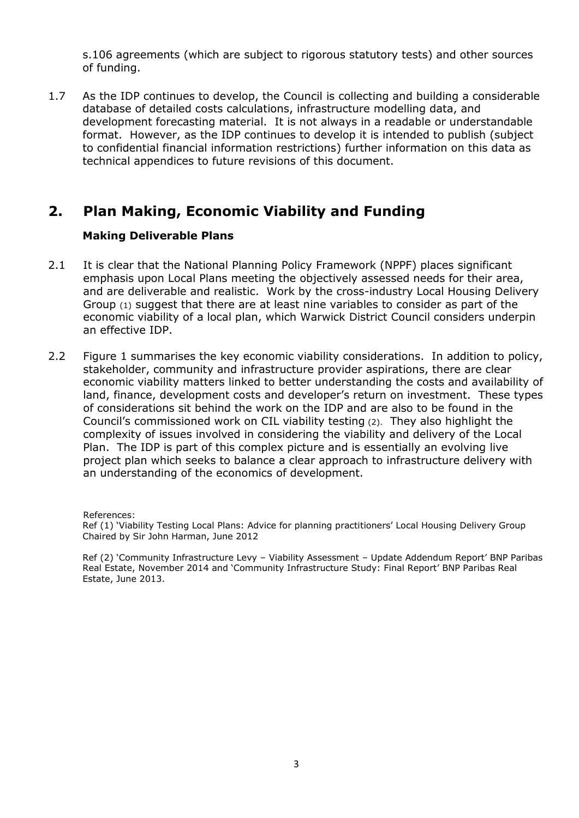s.106 agreements (which are subject to rigorous statutory tests) and other sources of funding.

1.7 As the IDP continues to develop, the Council is collecting and building a considerable database of detailed costs calculations, infrastructure modelling data, and development forecasting material. It is not always in a readable or understandable format. However, as the IDP continues to develop it is intended to publish (subject to confidential financial information restrictions) further information on this data as technical appendices to future revisions of this document.

### **2. Plan Making, Economic Viability and Funding**

#### **Making Deliverable Plans**

- 2.1 It is clear that the National Planning Policy Framework (NPPF) places significant emphasis upon Local Plans meeting the objectively assessed needs for their area, and are deliverable and realistic. Work by the cross-industry Local Housing Delivery Group (1) suggest that there are at least nine variables to consider as part of the economic viability of a local plan, which Warwick District Council considers underpin an effective IDP.
- 2.2 Figure 1 summarises the key economic viability considerations. In addition to policy, stakeholder, community and infrastructure provider aspirations, there are clear economic viability matters linked to better understanding the costs and availability of land, finance, development costs and developer's return on investment. These types of considerations sit behind the work on the IDP and are also to be found in the Council's commissioned work on CIL viability testing (2). They also highlight the complexity of issues involved in considering the viability and delivery of the Local Plan. The IDP is part of this complex picture and is essentially an evolving live project plan which seeks to balance a clear approach to infrastructure delivery with an understanding of the economics of development.

References:

Ref (1) 'Viability Testing Local Plans: Advice for planning practitioners' Local Housing Delivery Group Chaired by Sir John Harman, June 2012

Ref (2) 'Community Infrastructure Levy – Viability Assessment – Update Addendum Report' BNP Paribas Real Estate, November 2014 and 'Community Infrastructure Study: Final Report' BNP Paribas Real Estate, June 2013.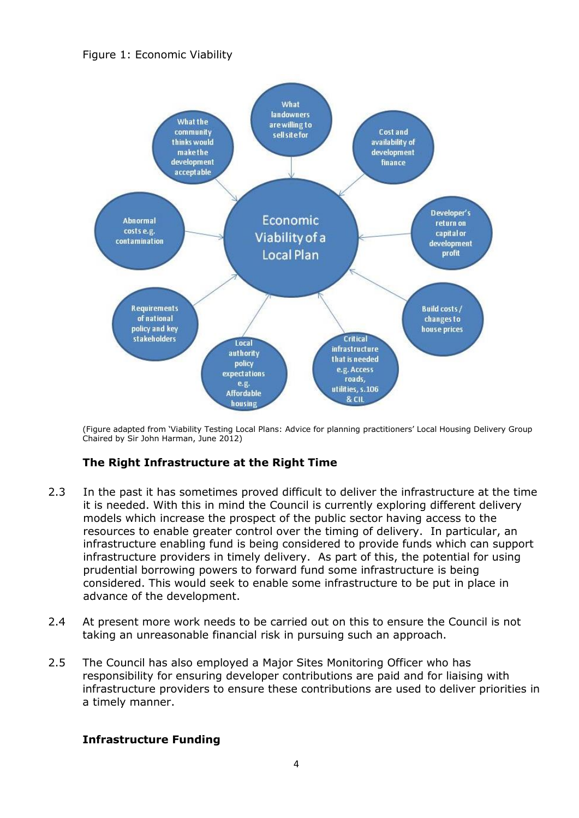



(Figure adapted from 'Viability Testing Local Plans: Advice for planning practitioners' Local Housing Delivery Group Chaired by Sir John Harman, June 2012)

#### **The Right Infrastructure at the Right Time**

- 2.3 In the past it has sometimes proved difficult to deliver the infrastructure at the time it is needed. With this in mind the Council is currently exploring different delivery models which increase the prospect of the public sector having access to the resources to enable greater control over the timing of delivery. In particular, an infrastructure enabling fund is being considered to provide funds which can support infrastructure providers in timely delivery. As part of this, the potential for using prudential borrowing powers to forward fund some infrastructure is being considered. This would seek to enable some infrastructure to be put in place in advance of the development.
- 2.4 At present more work needs to be carried out on this to ensure the Council is not taking an unreasonable financial risk in pursuing such an approach.
- 2.5 The Council has also employed a Major Sites Monitoring Officer who has responsibility for ensuring developer contributions are paid and for liaising with infrastructure providers to ensure these contributions are used to deliver priorities in a timely manner.

#### **Infrastructure Funding**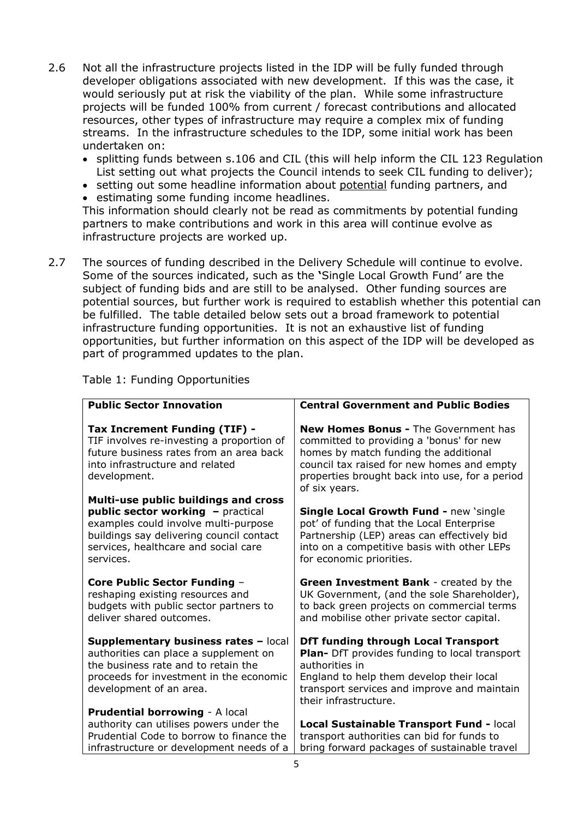- 2.6 Not all the infrastructure projects listed in the IDP will be fully funded through developer obligations associated with new development. If this was the case, it would seriously put at risk the viability of the plan. While some infrastructure projects will be funded 100% from current / forecast contributions and allocated resources, other types of infrastructure may require a complex mix of funding streams. In the infrastructure schedules to the IDP, some initial work has been undertaken on:
	- splitting funds between s.106 and CIL (this will help inform the CIL 123 Regulation List setting out what projects the Council intends to seek CIL funding to deliver);
	- setting out some headline information about potential funding partners, and
	- estimating some funding income headlines.

This information should clearly not be read as commitments by potential funding partners to make contributions and work in this area will continue evolve as infrastructure projects are worked up.

2.7 The sources of funding described in the Delivery Schedule will continue to evolve. Some of the sources indicated, such as the **'**Single Local Growth Fund' are the subject of funding bids and are still to be analysed. Other funding sources are potential sources, but further work is required to establish whether this potential can be fulfilled. The table detailed below sets out a broad framework to potential infrastructure funding opportunities. It is not an exhaustive list of funding opportunities, but further information on this aspect of the IDP will be developed as part of programmed updates to the plan.

| <b>Public Sector Innovation</b>                                                                                                                                                            | <b>Central Government and Public Bodies</b>                                                                                                                                                                                                       |
|--------------------------------------------------------------------------------------------------------------------------------------------------------------------------------------------|---------------------------------------------------------------------------------------------------------------------------------------------------------------------------------------------------------------------------------------------------|
| Tax Increment Funding (TIF) -<br>TIF involves re-investing a proportion of<br>future business rates from an area back<br>into infrastructure and related<br>development.                   | <b>New Homes Bonus - The Government has</b><br>committed to providing a 'bonus' for new<br>homes by match funding the additional<br>council tax raised for new homes and empty<br>properties brought back into use, for a period<br>of six years. |
| Multi-use public buildings and cross                                                                                                                                                       |                                                                                                                                                                                                                                                   |
| public sector working - practical<br>examples could involve multi-purpose<br>buildings say delivering council contact<br>services, healthcare and social care<br>services.                 | <b>Single Local Growth Fund - new 'single</b><br>pot' of funding that the Local Enterprise<br>Partnership (LEP) areas can effectively bid<br>into on a competitive basis with other LEPs<br>for economic priorities.                              |
| <b>Core Public Sector Funding -</b><br>reshaping existing resources and<br>budgets with public sector partners to<br>deliver shared outcomes.                                              | <b>Green Investment Bank - created by the</b><br>UK Government, (and the sole Shareholder),<br>to back green projects on commercial terms<br>and mobilise other private sector capital.                                                           |
| Supplementary business rates - local<br>authorities can place a supplement on<br>the business rate and to retain the<br>proceeds for investment in the economic<br>development of an area. | <b>DfT funding through Local Transport</b><br>Plan- DfT provides funding to local transport<br>authorities in<br>England to help them develop their local<br>transport services and improve and maintain<br>their infrastructure.                 |
| <b>Prudential borrowing - A local</b>                                                                                                                                                      |                                                                                                                                                                                                                                                   |
| authority can utilises powers under the                                                                                                                                                    | Local Sustainable Transport Fund - local                                                                                                                                                                                                          |
| Prudential Code to borrow to finance the<br>infrastructure or development needs of a                                                                                                       | transport authorities can bid for funds to<br>bring forward packages of sustainable travel                                                                                                                                                        |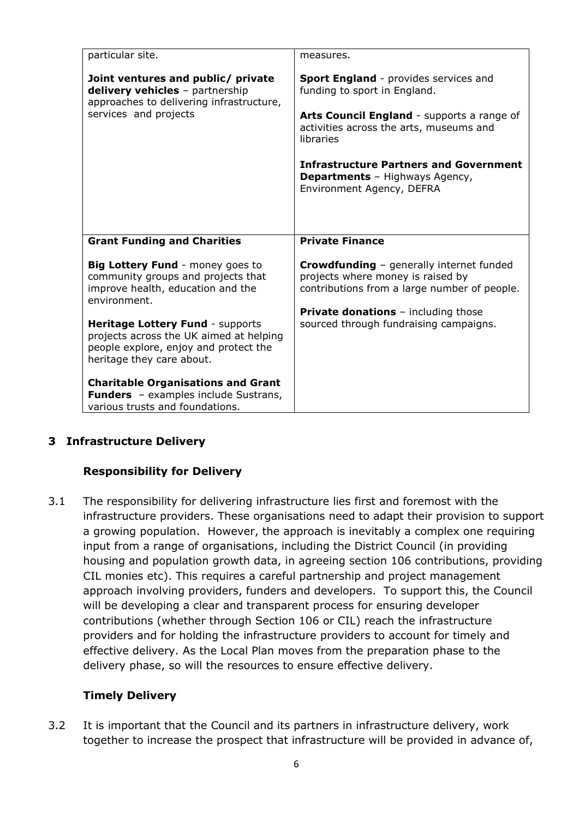| particular site.                                                                                                                                         | measures.                                                                                                                     |
|----------------------------------------------------------------------------------------------------------------------------------------------------------|-------------------------------------------------------------------------------------------------------------------------------|
| Joint ventures and public/ private<br>delivery vehicles - partnership<br>approaches to delivering infrastructure,                                        | Sport England - provides services and<br>funding to sport in England.                                                         |
| services and projects                                                                                                                                    | Arts Council England - supports a range of<br>activities across the arts, museums and<br>libraries                            |
|                                                                                                                                                          | <b>Infrastructure Partners and Government</b><br><b>Departments</b> - Highways Agency,<br>Environment Agency, DEFRA           |
|                                                                                                                                                          |                                                                                                                               |
|                                                                                                                                                          |                                                                                                                               |
| <b>Grant Funding and Charities</b>                                                                                                                       | <b>Private Finance</b>                                                                                                        |
| Big Lottery Fund - money goes to<br>community groups and projects that<br>improve health, education and the<br>environment.                              | Crowdfunding - generally internet funded<br>projects where money is raised by<br>contributions from a large number of people. |
| <b>Heritage Lottery Fund - supports</b><br>projects across the UK aimed at helping<br>people explore, enjoy and protect the<br>heritage they care about. | <b>Private donations</b> - including those<br>sourced through fundraising campaigns.                                          |

#### **3 Infrastructure Delivery**

#### **Responsibility for Delivery**

3.1 The responsibility for delivering infrastructure lies first and foremost with the infrastructure providers. These organisations need to adapt their provision to support a growing population. However, the approach is inevitably a complex one requiring input from a range of organisations, including the District Council (in providing housing and population growth data, in agreeing section 106 contributions, providing CIL monies etc). This requires a careful partnership and project management approach involving providers, funders and developers. To support this, the Council will be developing a clear and transparent process for ensuring developer contributions (whether through Section 106 or CIL) reach the infrastructure providers and for holding the infrastructure providers to account for timely and effective delivery. As the Local Plan moves from the preparation phase to the delivery phase, so will the resources to ensure effective delivery.

#### **Timely Delivery**

3.2 It is important that the Council and its partners in infrastructure delivery, work together to increase the prospect that infrastructure will be provided in advance of,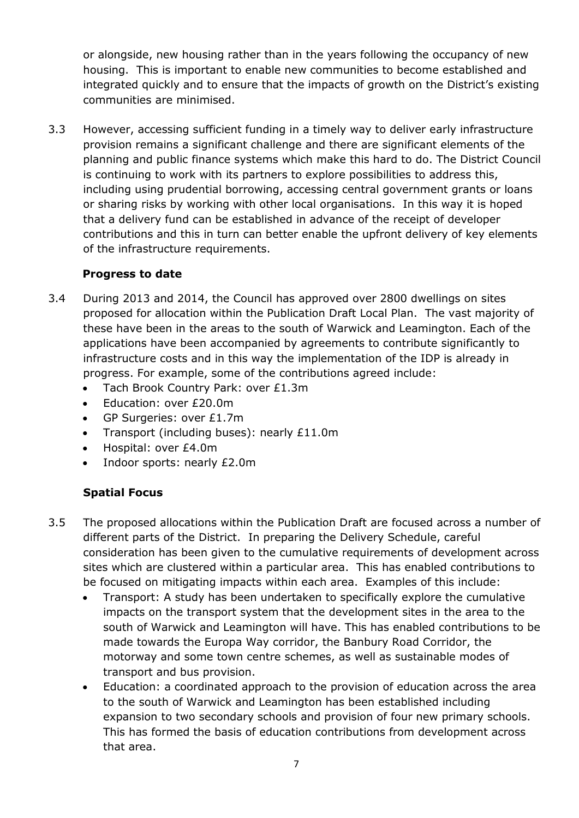or alongside, new housing rather than in the years following the occupancy of new housing. This is important to enable new communities to become established and integrated quickly and to ensure that the impacts of growth on the District's existing communities are minimised.

3.3 However, accessing sufficient funding in a timely way to deliver early infrastructure provision remains a significant challenge and there are significant elements of the planning and public finance systems which make this hard to do. The District Council is continuing to work with its partners to explore possibilities to address this, including using prudential borrowing, accessing central government grants or loans or sharing risks by working with other local organisations. In this way it is hoped that a delivery fund can be established in advance of the receipt of developer contributions and this in turn can better enable the upfront delivery of key elements of the infrastructure requirements.

#### **Progress to date**

- 3.4 During 2013 and 2014, the Council has approved over 2800 dwellings on sites proposed for allocation within the Publication Draft Local Plan. The vast majority of these have been in the areas to the south of Warwick and Leamington. Each of the applications have been accompanied by agreements to contribute significantly to infrastructure costs and in this way the implementation of the IDP is already in progress. For example, some of the contributions agreed include:
	- Tach Brook Country Park: over £1.3m
	- Education: over £20.0m
	- GP Surgeries: over £1.7m
	- Transport (including buses): nearly £11.0m
	- Hospital: over £4.0m
	- Indoor sports: nearly £2.0m

#### **Spatial Focus**

- 3.5 The proposed allocations within the Publication Draft are focused across a number of different parts of the District. In preparing the Delivery Schedule, careful consideration has been given to the cumulative requirements of development across sites which are clustered within a particular area. This has enabled contributions to be focused on mitigating impacts within each area. Examples of this include:
	- Transport: A study has been undertaken to specifically explore the cumulative impacts on the transport system that the development sites in the area to the south of Warwick and Leamington will have. This has enabled contributions to be made towards the Europa Way corridor, the Banbury Road Corridor, the motorway and some town centre schemes, as well as sustainable modes of transport and bus provision.
	- Education: a coordinated approach to the provision of education across the area to the south of Warwick and Leamington has been established including expansion to two secondary schools and provision of four new primary schools. This has formed the basis of education contributions from development across that area.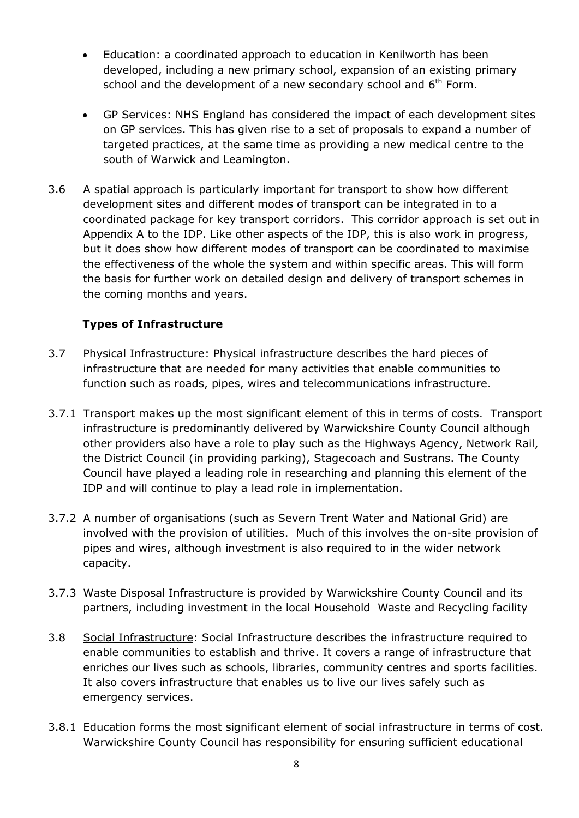- Education: a coordinated approach to education in Kenilworth has been developed, including a new primary school, expansion of an existing primary school and the development of a new secondary school and  $6<sup>th</sup>$  Form.
- GP Services: NHS England has considered the impact of each development sites on GP services. This has given rise to a set of proposals to expand a number of targeted practices, at the same time as providing a new medical centre to the south of Warwick and Leamington.
- 3.6 A spatial approach is particularly important for transport to show how different development sites and different modes of transport can be integrated in to a coordinated package for key transport corridors. This corridor approach is set out in Appendix A to the IDP. Like other aspects of the IDP, this is also work in progress, but it does show how different modes of transport can be coordinated to maximise the effectiveness of the whole the system and within specific areas. This will form the basis for further work on detailed design and delivery of transport schemes in the coming months and years.

#### **Types of Infrastructure**

- 3.7 Physical Infrastructure: Physical infrastructure describes the hard pieces of infrastructure that are needed for many activities that enable communities to function such as roads, pipes, wires and telecommunications infrastructure.
- 3.7.1 Transport makes up the most significant element of this in terms of costs. Transport infrastructure is predominantly delivered by Warwickshire County Council although other providers also have a role to play such as the Highways Agency, Network Rail, the District Council (in providing parking), Stagecoach and Sustrans. The County Council have played a leading role in researching and planning this element of the IDP and will continue to play a lead role in implementation.
- 3.7.2 A number of organisations (such as Severn Trent Water and National Grid) are involved with the provision of utilities. Much of this involves the on-site provision of pipes and wires, although investment is also required to in the wider network capacity.
- 3.7.3 Waste Disposal Infrastructure is provided by Warwickshire County Council and its partners, including investment in the local Household Waste and Recycling facility
- 3.8 Social Infrastructure: Social Infrastructure describes the infrastructure required to enable communities to establish and thrive. It covers a range of infrastructure that enriches our lives such as schools, libraries, community centres and sports facilities. It also covers infrastructure that enables us to live our lives safely such as emergency services.
- 3.8.1 Education forms the most significant element of social infrastructure in terms of cost. Warwickshire County Council has responsibility for ensuring sufficient educational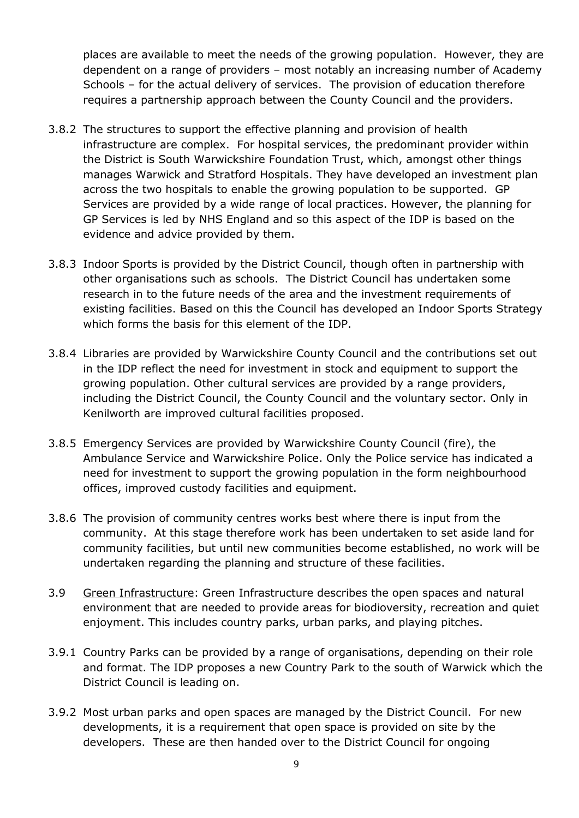places are available to meet the needs of the growing population. However, they are dependent on a range of providers – most notably an increasing number of Academy Schools – for the actual delivery of services. The provision of education therefore requires a partnership approach between the County Council and the providers.

- 3.8.2 The structures to support the effective planning and provision of health infrastructure are complex. For hospital services, the predominant provider within the District is South Warwickshire Foundation Trust, which, amongst other things manages Warwick and Stratford Hospitals. They have developed an investment plan across the two hospitals to enable the growing population to be supported. GP Services are provided by a wide range of local practices. However, the planning for GP Services is led by NHS England and so this aspect of the IDP is based on the evidence and advice provided by them.
- 3.8.3 Indoor Sports is provided by the District Council, though often in partnership with other organisations such as schools. The District Council has undertaken some research in to the future needs of the area and the investment requirements of existing facilities. Based on this the Council has developed an Indoor Sports Strategy which forms the basis for this element of the IDP.
- 3.8.4 Libraries are provided by Warwickshire County Council and the contributions set out in the IDP reflect the need for investment in stock and equipment to support the growing population. Other cultural services are provided by a range providers, including the District Council, the County Council and the voluntary sector. Only in Kenilworth are improved cultural facilities proposed.
- 3.8.5 Emergency Services are provided by Warwickshire County Council (fire), the Ambulance Service and Warwickshire Police. Only the Police service has indicated a need for investment to support the growing population in the form neighbourhood offices, improved custody facilities and equipment.
- 3.8.6 The provision of community centres works best where there is input from the community. At this stage therefore work has been undertaken to set aside land for community facilities, but until new communities become established, no work will be undertaken regarding the planning and structure of these facilities.
- 3.9 Green Infrastructure: Green Infrastructure describes the open spaces and natural environment that are needed to provide areas for biodioversity, recreation and quiet enjoyment. This includes country parks, urban parks, and playing pitches.
- 3.9.1 Country Parks can be provided by a range of organisations, depending on their role and format. The IDP proposes a new Country Park to the south of Warwick which the District Council is leading on.
- 3.9.2 Most urban parks and open spaces are managed by the District Council. For new developments, it is a requirement that open space is provided on site by the developers. These are then handed over to the District Council for ongoing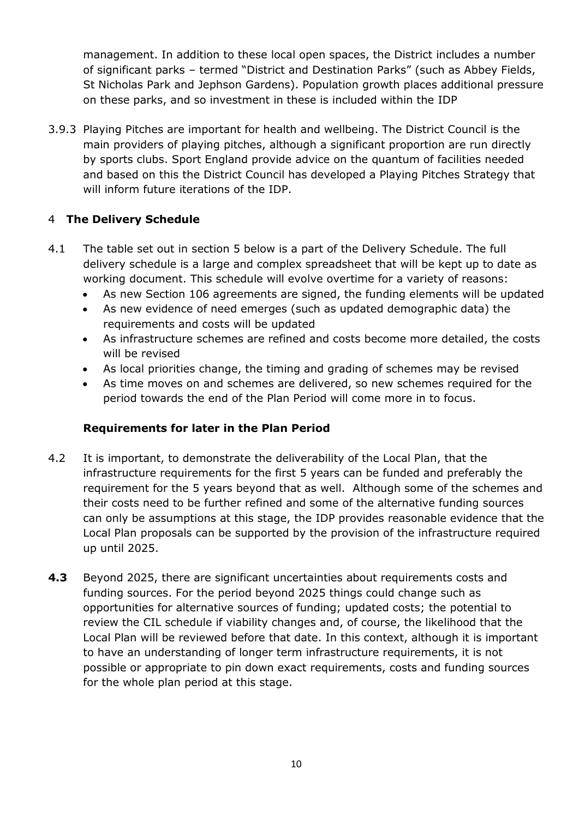management. In addition to these local open spaces, the District includes a number of significant parks – termed "District and Destination Parks" (such as Abbey Fields, St Nicholas Park and Jephson Gardens). Population growth places additional pressure on these parks, and so investment in these is included within the IDP

3.9.3 Playing Pitches are important for health and wellbeing. The District Council is the main providers of playing pitches, although a significant proportion are run directly by sports clubs. Sport England provide advice on the quantum of facilities needed and based on this the District Council has developed a Playing Pitches Strategy that will inform future iterations of the IDP.

#### 4 **The Delivery Schedule**

- 4.1 The table set out in section 5 below is a part of the Delivery Schedule. The full delivery schedule is a large and complex spreadsheet that will be kept up to date as working document. This schedule will evolve overtime for a variety of reasons:
	- As new Section 106 agreements are signed, the funding elements will be updated
	- As new evidence of need emerges (such as updated demographic data) the requirements and costs will be updated
	- As infrastructure schemes are refined and costs become more detailed, the costs will be revised
	- As local priorities change, the timing and grading of schemes may be revised
	- As time moves on and schemes are delivered, so new schemes required for the period towards the end of the Plan Period will come more in to focus.

#### **Requirements for later in the Plan Period**

- 4.2 It is important, to demonstrate the deliverability of the Local Plan, that the infrastructure requirements for the first 5 years can be funded and preferably the requirement for the 5 years beyond that as well. Although some of the schemes and their costs need to be further refined and some of the alternative funding sources can only be assumptions at this stage, the IDP provides reasonable evidence that the Local Plan proposals can be supported by the provision of the infrastructure required up until 2025.
- **4.3** Beyond 2025, there are significant uncertainties about requirements costs and funding sources. For the period beyond 2025 things could change such as opportunities for alternative sources of funding; updated costs; the potential to review the CIL schedule if viability changes and, of course, the likelihood that the Local Plan will be reviewed before that date. In this context, although it is important to have an understanding of longer term infrastructure requirements, it is not possible or appropriate to pin down exact requirements, costs and funding sources for the whole plan period at this stage.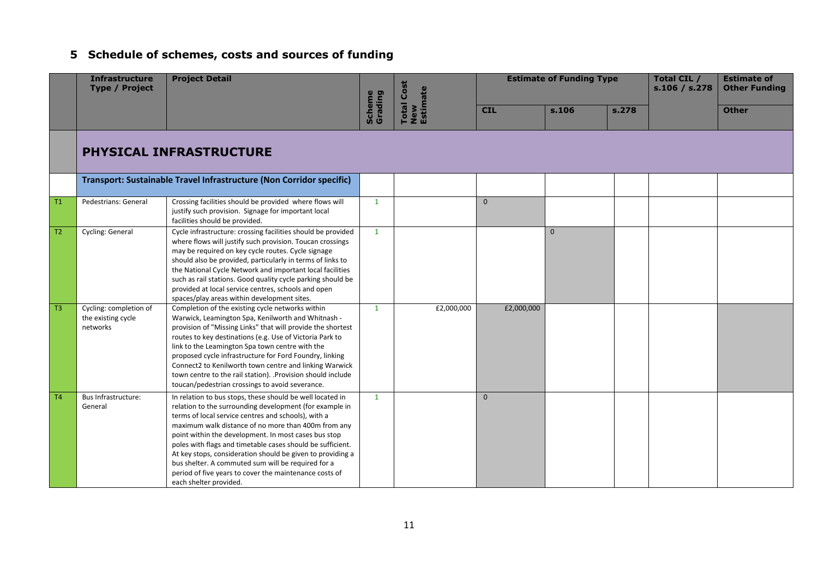# **5 Schedule of schemes, costs and sources of funding**

|                | <b>Infrastructure</b><br><b>Type / Project</b>           | <b>Project Detail</b>                                                                                                                                                                                                                                                                                                                                                                                                                                                                                                                                            |                   | <b>Total Cost</b><br>New<br>Estimate | <b>Estimate of Funding Type</b> |              |       | Total CIL /<br>s.106 / s.278 | <b>Estimate of</b><br><b>Other Funding</b> |
|----------------|----------------------------------------------------------|------------------------------------------------------------------------------------------------------------------------------------------------------------------------------------------------------------------------------------------------------------------------------------------------------------------------------------------------------------------------------------------------------------------------------------------------------------------------------------------------------------------------------------------------------------------|-------------------|--------------------------------------|---------------------------------|--------------|-------|------------------------------|--------------------------------------------|
|                |                                                          |                                                                                                                                                                                                                                                                                                                                                                                                                                                                                                                                                                  | Scheme<br>Grading |                                      | <b>CIL</b>                      | s.106        | s.278 |                              | <b>Other</b>                               |
|                |                                                          | <b>PHYSICAL INFRASTRUCTURE</b>                                                                                                                                                                                                                                                                                                                                                                                                                                                                                                                                   |                   |                                      |                                 |              |       |                              |                                            |
|                |                                                          | Transport: Sustainable Travel Infrastructure (Non Corridor specific)                                                                                                                                                                                                                                                                                                                                                                                                                                                                                             |                   |                                      |                                 |              |       |                              |                                            |
| T1             | Pedestrians: General                                     | Crossing facilities should be provided where flows will<br>justify such provision. Signage for important local<br>facilities should be provided.                                                                                                                                                                                                                                                                                                                                                                                                                 | $\mathbf{1}$      |                                      | $\mathbf{0}$                    |              |       |                              |                                            |
| T2             | Cycling: General                                         | Cycle infrastructure: crossing facilities should be provided<br>where flows will justify such provision. Toucan crossings<br>may be required on key cycle routes. Cycle signage<br>should also be provided, particularly in terms of links to<br>the National Cycle Network and important local facilities<br>such as rail stations. Good quality cycle parking should be<br>provided at local service centres, schools and open<br>spaces/play areas within development sites.                                                                                  | $\mathbf{1}$      |                                      |                                 | $\mathbf{0}$ |       |                              |                                            |
| T <sub>3</sub> | Cycling: completion of<br>the existing cycle<br>networks | Completion of the existing cycle networks within<br>Warwick, Leamington Spa, Kenilworth and Whitnash -<br>provision of "Missing Links" that will provide the shortest<br>routes to key destinations (e.g. Use of Victoria Park to<br>link to the Leamington Spa town centre with the<br>proposed cycle infrastructure for Ford Foundry, linking<br>Connect2 to Kenilworth town centre and linking Warwick<br>town centre to the rail station). .Provision should include<br>toucan/pedestrian crossings to avoid severance.                                      | $\mathbf{1}$      | £2,000,000                           | £2,000,000                      |              |       |                              |                                            |
| T4             | Bus Infrastructure:<br>General                           | In relation to bus stops, these should be well located in<br>relation to the surrounding development (for example in<br>terms of local service centres and schools), with a<br>maximum walk distance of no more than 400m from any<br>point within the development. In most cases bus stop<br>poles with flags and timetable cases should be sufficient.<br>At key stops, consideration should be given to providing a<br>bus shelter. A commuted sum will be required for a<br>period of five years to cover the maintenance costs of<br>each shelter provided. | $\mathbf{1}$      |                                      | $\Omega$                        |              |       |                              |                                            |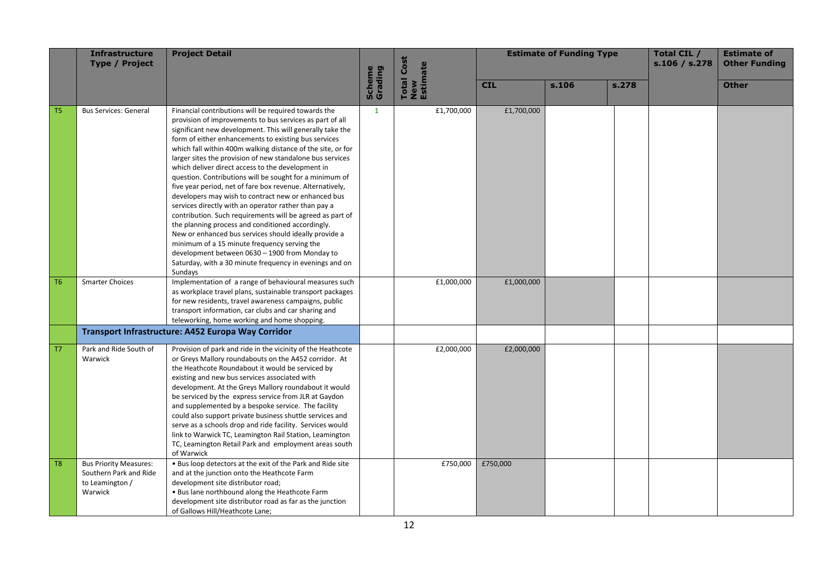|                | <b>Infrastructure</b><br><b>Type / Project</b>                                        | <b>Project Detail</b>                                                                                                                                                                                                                                                                                                                                                                                                                                                                                                                                                                                                                                                                                                                                                                                                                                                                                                                                                                                            |                   | <b>Estimate of Funding Type</b><br><b>Total Cost</b><br>New<br>Estimate |            |       |       | Total CIL /<br>s.106 / s.278 | <b>Estimate of</b><br><b>Other Funding</b> |
|----------------|---------------------------------------------------------------------------------------|------------------------------------------------------------------------------------------------------------------------------------------------------------------------------------------------------------------------------------------------------------------------------------------------------------------------------------------------------------------------------------------------------------------------------------------------------------------------------------------------------------------------------------------------------------------------------------------------------------------------------------------------------------------------------------------------------------------------------------------------------------------------------------------------------------------------------------------------------------------------------------------------------------------------------------------------------------------------------------------------------------------|-------------------|-------------------------------------------------------------------------|------------|-------|-------|------------------------------|--------------------------------------------|
|                |                                                                                       |                                                                                                                                                                                                                                                                                                                                                                                                                                                                                                                                                                                                                                                                                                                                                                                                                                                                                                                                                                                                                  | Scheme<br>Grading |                                                                         | <b>CIL</b> | s.106 | s.278 |                              | <b>Other</b>                               |
| T <sub>5</sub> | <b>Bus Services: General</b>                                                          | Financial contributions will be required towards the<br>provision of improvements to bus services as part of all<br>significant new development. This will generally take the<br>form of either enhancements to existing bus services<br>which fall within 400m walking distance of the site, or for<br>larger sites the provision of new standalone bus services<br>which deliver direct access to the development in<br>question. Contributions will be sought for a minimum of<br>five year period, net of fare box revenue. Alternatively,<br>developers may wish to contract new or enhanced bus<br>services directly with an operator rather than pay a<br>contribution. Such requirements will be agreed as part of<br>the planning process and conditioned accordingly.<br>New or enhanced bus services should ideally provide a<br>minimum of a 15 minute frequency serving the<br>development between 0630 - 1900 from Monday to<br>Saturday, with a 30 minute frequency in evenings and on<br>Sundays | $\mathbf{1}$      | £1,700,000                                                              | £1,700,000 |       |       |                              |                                            |
| T <sub>6</sub> | <b>Smarter Choices</b>                                                                | Implementation of a range of behavioural measures such<br>as workplace travel plans, sustainable transport packages<br>for new residents, travel awareness campaigns, public<br>transport information, car clubs and car sharing and<br>teleworking, home working and home shopping.                                                                                                                                                                                                                                                                                                                                                                                                                                                                                                                                                                                                                                                                                                                             |                   | £1,000,000                                                              | £1,000,000 |       |       |                              |                                            |
|                |                                                                                       | Transport Infrastructure: A452 Europa Way Corridor                                                                                                                                                                                                                                                                                                                                                                                                                                                                                                                                                                                                                                                                                                                                                                                                                                                                                                                                                               |                   |                                                                         |            |       |       |                              |                                            |
| T7             | Park and Ride South of<br>Warwick                                                     | Provision of park and ride in the vicinity of the Heathcote<br>or Greys Mallory roundabouts on the A452 corridor. At<br>the Heathcote Roundabout it would be serviced by<br>existing and new bus services associated with<br>development. At the Greys Mallory roundabout it would<br>be serviced by the express service from JLR at Gaydon<br>and supplemented by a bespoke service. The facility<br>could also support private business shuttle services and<br>serve as a schools drop and ride facility. Services would<br>link to Warwick TC, Leamington Rail Station, Leamington<br>TC, Leamington Retail Park and employment areas south<br>of Warwick                                                                                                                                                                                                                                                                                                                                                    |                   | £2,000,000                                                              | £2,000,000 |       |       |                              |                                            |
| T <sub>8</sub> | <b>Bus Priority Measures:</b><br>Southern Park and Ride<br>to Leamington /<br>Warwick | . Bus loop detectors at the exit of the Park and Ride site<br>and at the junction onto the Heathcote Farm<br>development site distributor road;<br>. Bus lane northbound along the Heathcote Farm<br>development site distributor road as far as the junction<br>of Gallows Hill/Heathcote Lane;                                                                                                                                                                                                                                                                                                                                                                                                                                                                                                                                                                                                                                                                                                                 |                   | £750,000                                                                | £750,000   |       |       |                              |                                            |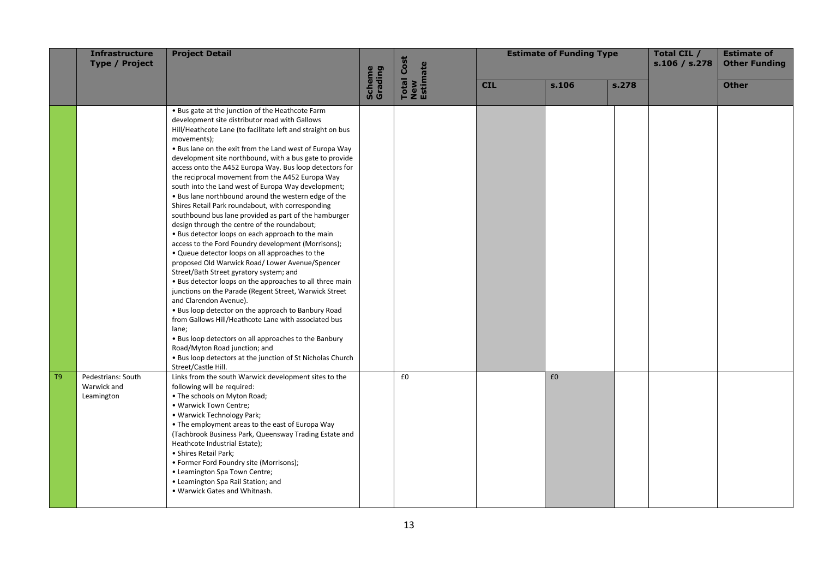|    | <b>Infrastructure</b><br><b>Type / Project</b>  | <b>Project Detail</b>                                                                                                                                                                                                                                                                                                                                                                                                                                                                                                                                                                                                                                                                                                                                                                                                                                                                                                                                                                                                                                                                                                                                                                                                                                                                                                                                                                                                  | <b>Total Cost</b> |                 |            | <b>Estimate of Funding Type</b> |       | Total CIL /<br>s.106 / s.278 | <b>Estimate of</b><br><b>Other Funding</b> |
|----|-------------------------------------------------|------------------------------------------------------------------------------------------------------------------------------------------------------------------------------------------------------------------------------------------------------------------------------------------------------------------------------------------------------------------------------------------------------------------------------------------------------------------------------------------------------------------------------------------------------------------------------------------------------------------------------------------------------------------------------------------------------------------------------------------------------------------------------------------------------------------------------------------------------------------------------------------------------------------------------------------------------------------------------------------------------------------------------------------------------------------------------------------------------------------------------------------------------------------------------------------------------------------------------------------------------------------------------------------------------------------------------------------------------------------------------------------------------------------------|-------------------|-----------------|------------|---------------------------------|-------|------------------------------|--------------------------------------------|
|    |                                                 |                                                                                                                                                                                                                                                                                                                                                                                                                                                                                                                                                                                                                                                                                                                                                                                                                                                                                                                                                                                                                                                                                                                                                                                                                                                                                                                                                                                                                        | Scheme<br>Grading | New<br>Estimate | <b>CIL</b> | s.106                           | s.278 |                              | <b>Other</b>                               |
|    |                                                 | . Bus gate at the junction of the Heathcote Farm<br>development site distributor road with Gallows<br>Hill/Heathcote Lane (to facilitate left and straight on bus<br>movements);<br>. Bus lane on the exit from the Land west of Europa Way<br>development site northbound, with a bus gate to provide<br>access onto the A452 Europa Way. Bus loop detectors for<br>the reciprocal movement from the A452 Europa Way<br>south into the Land west of Europa Way development;<br>. Bus lane northbound around the western edge of the<br>Shires Retail Park roundabout, with corresponding<br>southbound bus lane provided as part of the hamburger<br>design through the centre of the roundabout;<br>. Bus detector loops on each approach to the main<br>access to the Ford Foundry development (Morrisons);<br>. Queue detector loops on all approaches to the<br>proposed Old Warwick Road/ Lower Avenue/Spencer<br>Street/Bath Street gyratory system; and<br>• Bus detector loops on the approaches to all three main<br>junctions on the Parade (Regent Street, Warwick Street<br>and Clarendon Avenue).<br>. Bus loop detector on the approach to Banbury Road<br>from Gallows Hill/Heathcote Lane with associated bus<br>lane;<br>. Bus loop detectors on all approaches to the Banbury<br>Road/Myton Road junction; and<br>. Bus loop detectors at the junction of St Nicholas Church<br>Street/Castle Hill. |                   |                 |            |                                 |       |                              |                                            |
| T9 | Pedestrians: South<br>Warwick and<br>Leamington | Links from the south Warwick development sites to the<br>following will be required:<br>• The schools on Myton Road;<br>. Warwick Town Centre;<br>• Warwick Technology Park;<br>• The employment areas to the east of Europa Way<br>(Tachbrook Business Park, Queensway Trading Estate and<br>Heathcote Industrial Estate);<br>· Shires Retail Park;<br>• Former Ford Foundry site (Morrisons);<br>• Leamington Spa Town Centre;<br>• Leamington Spa Rail Station; and<br>. Warwick Gates and Whitnash.                                                                                                                                                                                                                                                                                                                                                                                                                                                                                                                                                                                                                                                                                                                                                                                                                                                                                                                |                   | £0              |            | £0                              |       |                              |                                            |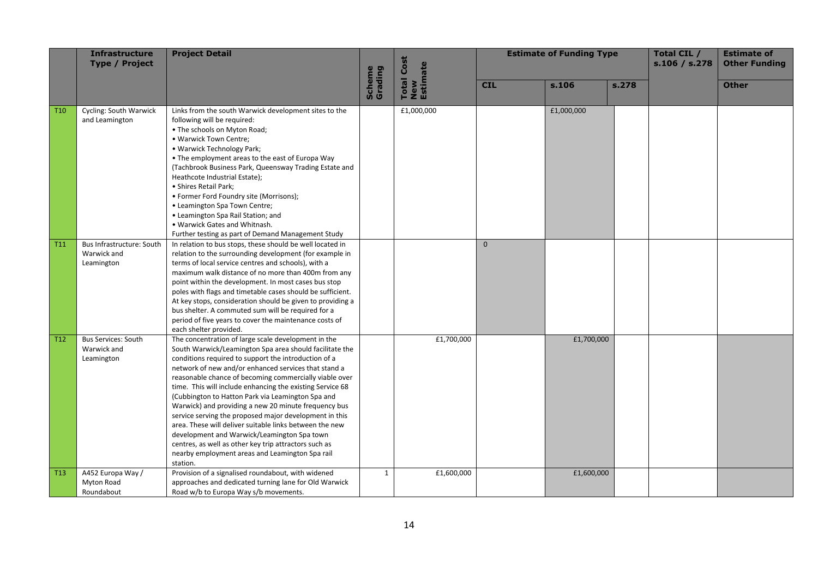|                 | Infrastructure<br><b>Type / Project</b>                 | <b>Project Detail</b>                                                                                                                                                                                                                                                                                                                                                                                                                                                                                                                                                                                                                                                                                                                                          |                   | <b>Total Cost</b> | <b>Estimate of Funding Type</b> |            |       | Total CIL /<br>s.106 / s.278 | <b>Estimate of</b><br><b>Other Funding</b> |
|-----------------|---------------------------------------------------------|----------------------------------------------------------------------------------------------------------------------------------------------------------------------------------------------------------------------------------------------------------------------------------------------------------------------------------------------------------------------------------------------------------------------------------------------------------------------------------------------------------------------------------------------------------------------------------------------------------------------------------------------------------------------------------------------------------------------------------------------------------------|-------------------|-------------------|---------------------------------|------------|-------|------------------------------|--------------------------------------------|
|                 |                                                         |                                                                                                                                                                                                                                                                                                                                                                                                                                                                                                                                                                                                                                                                                                                                                                | Scheme<br>Grading | New<br>Estimate   | <b>CIL</b>                      | s.106      | s.278 |                              | <b>Other</b>                               |
| T <sub>10</sub> | Cycling: South Warwick<br>and Leamington                | Links from the south Warwick development sites to the<br>following will be required:<br>• The schools on Myton Road;<br>. Warwick Town Centre;<br>· Warwick Technology Park;<br>• The employment areas to the east of Europa Way<br>(Tachbrook Business Park, Queensway Trading Estate and<br>Heathcote Industrial Estate);<br>· Shires Retail Park;<br>• Former Ford Foundry site (Morrisons);<br>• Leamington Spa Town Centre;<br>• Leamington Spa Rail Station; and<br>. Warwick Gates and Whitnash.<br>Further testing as part of Demand Management Study                                                                                                                                                                                                  |                   | £1,000,000        |                                 | £1,000,000 |       |                              |                                            |
| T <sub>11</sub> | Bus Infrastructure: South<br>Warwick and<br>Leamington  | In relation to bus stops, these should be well located in<br>relation to the surrounding development (for example in<br>terms of local service centres and schools), with a<br>maximum walk distance of no more than 400m from any<br>point within the development. In most cases bus stop<br>poles with flags and timetable cases should be sufficient.<br>At key stops, consideration should be given to providing a<br>bus shelter. A commuted sum will be required for a<br>period of five years to cover the maintenance costs of<br>each shelter provided.                                                                                                                                                                                               |                   |                   | $\Omega$                        |            |       |                              |                                            |
| T <sub>12</sub> | <b>Bus Services: South</b><br>Warwick and<br>Leamington | The concentration of large scale development in the<br>South Warwick/Leamington Spa area should facilitate the<br>conditions required to support the introduction of a<br>network of new and/or enhanced services that stand a<br>reasonable chance of becoming commercially viable over<br>time. This will include enhancing the existing Service 68<br>(Cubbington to Hatton Park via Leamington Spa and<br>Warwick) and providing a new 20 minute frequency bus<br>service serving the proposed major development in this<br>area. These will deliver suitable links between the new<br>development and Warwick/Leamington Spa town<br>centres, as well as other key trip attractors such as<br>nearby employment areas and Leamington Spa rail<br>station. |                   | £1,700,000        |                                 | £1,700,000 |       |                              |                                            |
| T <sub>13</sub> | A452 Europa Way /<br>Myton Road<br>Roundabout           | Provision of a signalised roundabout, with widened<br>approaches and dedicated turning lane for Old Warwick<br>Road w/b to Europa Way s/b movements.                                                                                                                                                                                                                                                                                                                                                                                                                                                                                                                                                                                                           | $\mathbf{1}$      | £1,600,000        |                                 | £1,600,000 |       |                              |                                            |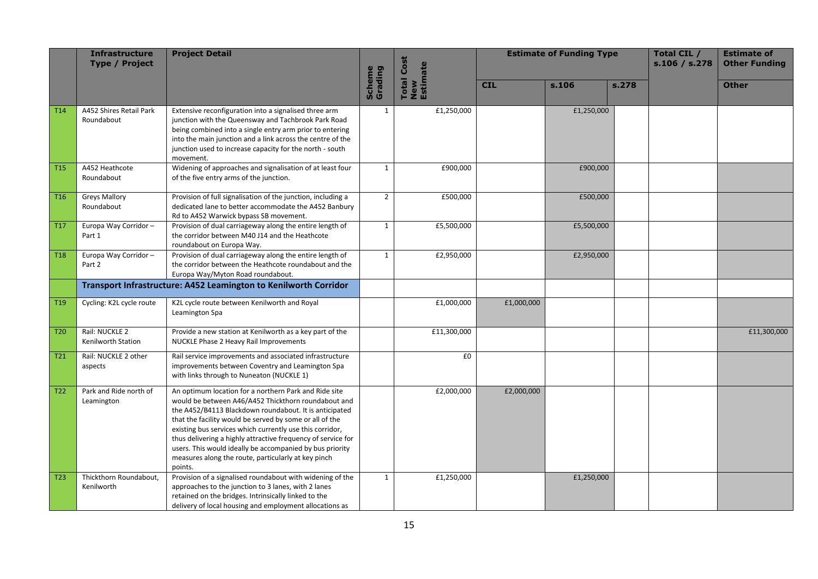|                 | <b>Infrastructure</b><br><b>Type / Project</b> | <b>Project Detail</b>                                                                                                                                                                                                                                                                                                                                                                                                                                                                       |                          | <b>Total Cost</b>       | <b>Estimate of Funding Type</b> |            |       | Total CIL /<br>s.106 / s.278 | <b>Estimate of</b><br><b>Other Funding</b> |
|-----------------|------------------------------------------------|---------------------------------------------------------------------------------------------------------------------------------------------------------------------------------------------------------------------------------------------------------------------------------------------------------------------------------------------------------------------------------------------------------------------------------------------------------------------------------------------|--------------------------|-------------------------|---------------------------------|------------|-------|------------------------------|--------------------------------------------|
|                 |                                                |                                                                                                                                                                                                                                                                                                                                                                                                                                                                                             | <b>Scheme</b><br>Grading | New<br>Estimate         | <b>CIL</b>                      | s.106      | s.278 |                              | <b>Other</b>                               |
| T <sub>14</sub> | A452 Shires Retail Park<br>Roundabout          | Extensive reconfiguration into a signalised three arm<br>junction with the Queensway and Tachbrook Park Road<br>being combined into a single entry arm prior to entering<br>into the main junction and a link across the centre of the<br>junction used to increase capacity for the north - south<br>movement.                                                                                                                                                                             | 1                        | £1,250,000              |                                 | £1,250,000 |       |                              |                                            |
| <b>T15</b>      | A452 Heathcote<br>Roundabout                   | Widening of approaches and signalisation of at least four<br>of the five entry arms of the junction.                                                                                                                                                                                                                                                                                                                                                                                        | 1                        | £900,000                |                                 | £900,000   |       |                              |                                            |
| T <sub>16</sub> | <b>Greys Mallory</b><br>Roundabout             | Provision of full signalisation of the junction, including a<br>dedicated lane to better accommodate the A452 Banbury<br>Rd to A452 Warwick bypass SB movement.                                                                                                                                                                                                                                                                                                                             | $\overline{2}$           | £500,000                |                                 | £500,000   |       |                              |                                            |
| T17             | Europa Way Corridor-<br>Part 1                 | Provision of dual carriageway along the entire length of<br>the corridor between M40 J14 and the Heathcote<br>roundabout on Europa Way.                                                                                                                                                                                                                                                                                                                                                     | $\mathbf{1}$             | £5,500,000              |                                 | £5,500,000 |       |                              |                                            |
| T <sub>18</sub> | Europa Way Corridor-<br>Part 2                 | Provision of dual carriageway along the entire length of<br>the corridor between the Heathcote roundabout and the<br>Europa Way/Myton Road roundabout.                                                                                                                                                                                                                                                                                                                                      | $\mathbf{1}$             | $\overline{f2,950,000}$ |                                 | £2,950,000 |       |                              |                                            |
|                 |                                                | Transport Infrastructure: A452 Leamington to Kenilworth Corridor                                                                                                                                                                                                                                                                                                                                                                                                                            |                          |                         |                                 |            |       |                              |                                            |
| T <sub>19</sub> | Cycling: K2L cycle route                       | K2L cycle route between Kenilworth and Royal<br>Leamington Spa                                                                                                                                                                                                                                                                                                                                                                                                                              |                          | £1,000,000              | £1,000,000                      |            |       |                              |                                            |
| T <sub>20</sub> | Rail: NUCKLE 2<br>Kenilworth Station           | Provide a new station at Kenilworth as a key part of the<br>NUCKLE Phase 2 Heavy Rail Improvements                                                                                                                                                                                                                                                                                                                                                                                          |                          | £11,300,000             |                                 |            |       |                              | £11,300,000                                |
| T21             | Rail: NUCKLE 2 other<br>aspects                | Rail service improvements and associated infrastructure<br>improvements between Coventry and Leamington Spa<br>with links through to Nuneaton (NUCKLE 1)                                                                                                                                                                                                                                                                                                                                    |                          | £0                      |                                 |            |       |                              |                                            |
| T <sub>22</sub> | Park and Ride north of<br>Leamington           | An optimum location for a northern Park and Ride site<br>would be between A46/A452 Thickthorn roundabout and<br>the A452/B4113 Blackdown roundabout. It is anticipated<br>that the facility would be served by some or all of the<br>existing bus services which currently use this corridor,<br>thus delivering a highly attractive frequency of service for<br>users. This would ideally be accompanied by bus priority<br>measures along the route, particularly at key pinch<br>points. |                          | £2,000,000              | £2,000,000                      |            |       |                              |                                            |
| T <sub>23</sub> | Thickthorn Roundabout,<br>Kenilworth           | Provision of a signalised roundabout with widening of the<br>approaches to the junction to 3 lanes, with 2 lanes<br>retained on the bridges. Intrinsically linked to the<br>delivery of local housing and employment allocations as                                                                                                                                                                                                                                                         | $\mathbf{1}$             | £1,250,000              |                                 | £1,250,000 |       |                              |                                            |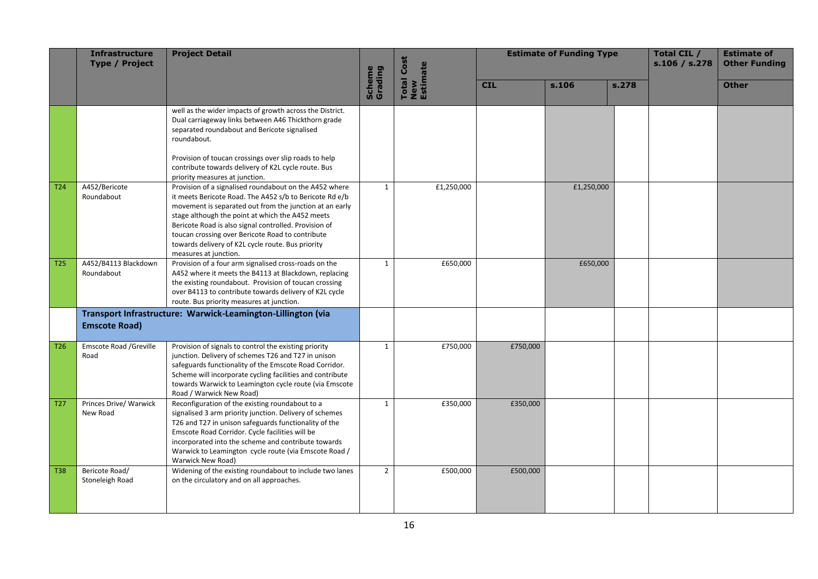|                 | Infrastructure<br><b>Type / Project</b> | <b>Project Detail</b>                                                                                                                                                                                                                                                                                                                                                                                                       |                   | <b>Total Cost</b> | <b>Estimate of Funding Type</b> |            |       | Total CIL /<br>s.106 / s.278 | <b>Estimate of</b><br><b>Other Funding</b> |
|-----------------|-----------------------------------------|-----------------------------------------------------------------------------------------------------------------------------------------------------------------------------------------------------------------------------------------------------------------------------------------------------------------------------------------------------------------------------------------------------------------------------|-------------------|-------------------|---------------------------------|------------|-------|------------------------------|--------------------------------------------|
|                 |                                         |                                                                                                                                                                                                                                                                                                                                                                                                                             | Scheme<br>Grading | New<br>Estimate   | <b>CIL</b>                      | s.106      | s.278 |                              | <b>Other</b>                               |
|                 |                                         | well as the wider impacts of growth across the District.<br>Dual carriageway links between A46 Thickthorn grade<br>separated roundabout and Bericote signalised<br>roundabout.<br>Provision of toucan crossings over slip roads to help<br>contribute towards delivery of K2L cycle route. Bus<br>priority measures at junction.                                                                                            |                   |                   |                                 |            |       |                              |                                            |
| T24             | A452/Bericote<br>Roundabout             | Provision of a signalised roundabout on the A452 where<br>it meets Bericote Road. The A452 s/b to Bericote Rd e/b<br>movement is separated out from the junction at an early<br>stage although the point at which the A452 meets<br>Bericote Road is also signal controlled. Provision of<br>toucan crossing over Bericote Road to contribute<br>towards delivery of K2L cycle route. Bus priority<br>measures at junction. | $\mathbf{1}$      | £1,250,000        |                                 | £1,250,000 |       |                              |                                            |
| <b>T25</b>      | A452/B4113 Blackdown<br>Roundabout      | Provision of a four arm signalised cross-roads on the<br>A452 where it meets the B4113 at Blackdown, replacing<br>the existing roundabout. Provision of toucan crossing<br>over B4113 to contribute towards delivery of K2L cycle<br>route. Bus priority measures at junction.                                                                                                                                              | $\mathbf{1}$      | £650,000          |                                 | £650,000   |       |                              |                                            |
|                 | <b>Emscote Road)</b>                    | Transport Infrastructure: Warwick-Leamington-Lillington (via                                                                                                                                                                                                                                                                                                                                                                |                   |                   |                                 |            |       |                              |                                            |
| T <sub>26</sub> | Emscote Road /Greville<br>Road          | Provision of signals to control the existing priority<br>junction. Delivery of schemes T26 and T27 in unison<br>safeguards functionality of the Emscote Road Corridor.<br>Scheme will incorporate cycling facilities and contribute<br>towards Warwick to Leamington cycle route (via Emscote<br>Road / Warwick New Road)                                                                                                   | $\mathbf{1}$      | £750,000          | £750,000                        |            |       |                              |                                            |
| T <sub>27</sub> | Princes Drive/ Warwick<br>New Road      | Reconfiguration of the existing roundabout to a<br>signalised 3 arm priority junction. Delivery of schemes<br>T26 and T27 in unison safeguards functionality of the<br>Emscote Road Corridor. Cycle facilities will be<br>incorporated into the scheme and contribute towards<br>Warwick to Leamington cycle route (via Emscote Road /<br>Warwick New Road)                                                                 | $\mathbf{1}$      | £350,000          | £350,000                        |            |       |                              |                                            |
| <b>T38</b>      | Bericote Road/<br>Stoneleigh Road       | Widening of the existing roundabout to include two lanes<br>on the circulatory and on all approaches.                                                                                                                                                                                                                                                                                                                       | $\overline{2}$    | £500,000          | £500,000                        |            |       |                              |                                            |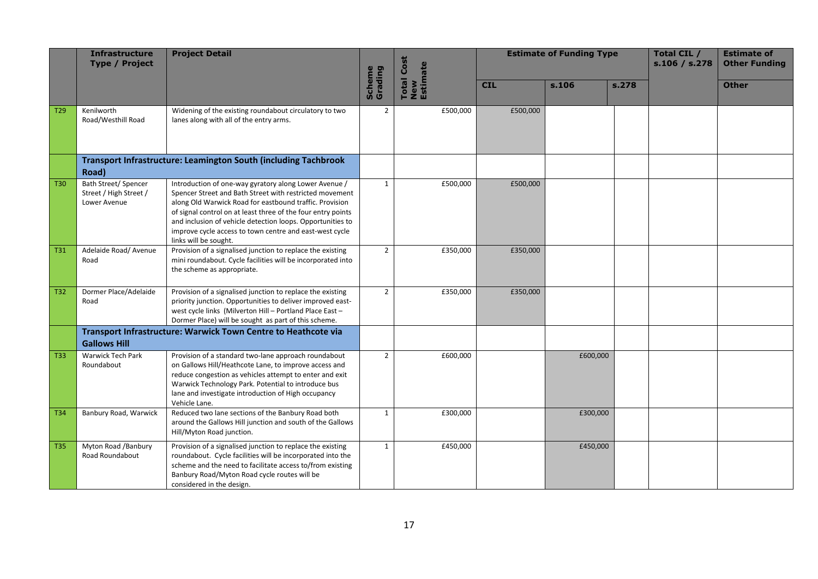|                 | <b>Infrastructure</b><br><b>Type / Project</b>                                  | <b>Project Detail</b>                                                                                                                                                                                                                                                                                                                                                                         |                          | <b>Total Cost</b> | <b>Estimate of Funding Type</b> |          |       | Total CIL /<br>s.106 / s.278 | <b>Estimate of</b><br><b>Other Funding</b> |
|-----------------|---------------------------------------------------------------------------------|-----------------------------------------------------------------------------------------------------------------------------------------------------------------------------------------------------------------------------------------------------------------------------------------------------------------------------------------------------------------------------------------------|--------------------------|-------------------|---------------------------------|----------|-------|------------------------------|--------------------------------------------|
|                 |                                                                                 |                                                                                                                                                                                                                                                                                                                                                                                               | <b>Scheme</b><br>Grading | New<br>Estimate   | <b>CIL</b>                      | s.106    | s.278 |                              | <b>Other</b>                               |
| T <sub>29</sub> | Kenilworth<br>Road/Westhill Road                                                | Widening of the existing roundabout circulatory to two<br>lanes along with all of the entry arms.                                                                                                                                                                                                                                                                                             | $\overline{2}$           | £500,000          | £500,000                        |          |       |                              |                                            |
|                 | <b>Transport Infrastructure: Leamington South (including Tachbrook</b><br>Road) |                                                                                                                                                                                                                                                                                                                                                                                               |                          |                   |                                 |          |       |                              |                                            |
| <b>T30</b>      | <b>Bath Street/ Spencer</b><br>Street / High Street /<br>Lower Avenue           | Introduction of one-way gyratory along Lower Avenue /<br>Spencer Street and Bath Street with restricted movement<br>along Old Warwick Road for eastbound traffic. Provision<br>of signal control on at least three of the four entry points<br>and inclusion of vehicle detection loops. Opportunities to<br>improve cycle access to town centre and east-west cycle<br>links will be sought. | $\mathbf{1}$             | £500,000          | £500,000                        |          |       |                              |                                            |
| <b>T31</b>      | Adelaide Road/ Avenue<br>Road                                                   | Provision of a signalised junction to replace the existing<br>mini roundabout. Cycle facilities will be incorporated into<br>the scheme as appropriate.                                                                                                                                                                                                                                       | $\overline{2}$           | £350,000          | £350,000                        |          |       |                              |                                            |
| <b>T32</b>      | Dormer Place/Adelaide<br>Road                                                   | Provision of a signalised junction to replace the existing<br>priority junction. Opportunities to deliver improved east-<br>west cycle links (Milverton Hill - Portland Place East -<br>Dormer Place) will be sought as part of this scheme.                                                                                                                                                  | $\overline{2}$           | £350,000          | £350,000                        |          |       |                              |                                            |
|                 | <b>Gallows Hill</b>                                                             | Transport Infrastructure: Warwick Town Centre to Heathcote via                                                                                                                                                                                                                                                                                                                                |                          |                   |                                 |          |       |                              |                                            |
| <b>T33</b>      | <b>Warwick Tech Park</b><br>Roundabout                                          | Provision of a standard two-lane approach roundabout<br>on Gallows Hill/Heathcote Lane, to improve access and<br>reduce congestion as vehicles attempt to enter and exit<br>Warwick Technology Park. Potential to introduce bus<br>lane and investigate introduction of High occupancy<br>Vehicle Lane.                                                                                       | $\overline{2}$           | £600,000          |                                 | £600,000 |       |                              |                                            |
| T34             | Banbury Road, Warwick                                                           | Reduced two lane sections of the Banbury Road both<br>around the Gallows Hill junction and south of the Gallows<br>Hill/Myton Road junction.                                                                                                                                                                                                                                                  | 1                        | £300,000          |                                 | £300,000 |       |                              |                                            |
| <b>T35</b>      | Myton Road /Banbury<br>Road Roundabout                                          | Provision of a signalised junction to replace the existing<br>roundabout. Cycle facilities will be incorporated into the<br>scheme and the need to facilitate access to/from existing<br>Banbury Road/Myton Road cycle routes will be<br>considered in the design.                                                                                                                            | 1                        | £450,000          |                                 | £450,000 |       |                              |                                            |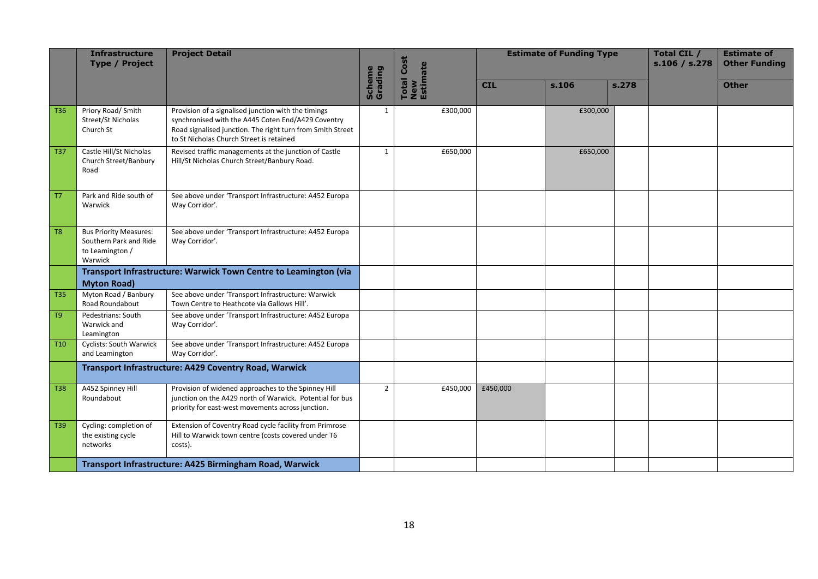|                         | <b>Infrastructure</b><br><b>Type / Project</b>                                        | <b>Project Detail</b>                                                                                                                                                                                               |                   | <b>Total Cost</b> | <b>Estimate of Funding Type</b> |          |       | Total CIL /<br>s.106 / s.278 | <b>Estimate of</b><br><b>Other Funding</b> |
|-------------------------|---------------------------------------------------------------------------------------|---------------------------------------------------------------------------------------------------------------------------------------------------------------------------------------------------------------------|-------------------|-------------------|---------------------------------|----------|-------|------------------------------|--------------------------------------------|
|                         |                                                                                       |                                                                                                                                                                                                                     | Scheme<br>Grading | New<br>Estimate   | <b>CIL</b>                      | s.106    | s.278 |                              | <b>Other</b>                               |
| T36                     | Priory Road/ Smith<br>Street/St Nicholas<br>Church St                                 | Provision of a signalised junction with the timings<br>synchronised with the A445 Coten End/A429 Coventry<br>Road signalised junction. The right turn from Smith Street<br>to St Nicholas Church Street is retained | $\mathbf{1}$      | £300,000          |                                 | £300,000 |       |                              |                                            |
| <b>T37</b>              | Castle Hill/St Nicholas<br>Church Street/Banbury<br>Road                              | Revised traffic managements at the junction of Castle<br>Hill/St Nicholas Church Street/Banbury Road.                                                                                                               | $\mathbf{1}$      | £650,000          |                                 | £650,000 |       |                              |                                            |
| $\mathsf{T} \mathsf{7}$ | Park and Ride south of<br>Warwick                                                     | See above under 'Transport Infrastructure: A452 Europa<br>Way Corridor'.                                                                                                                                            |                   |                   |                                 |          |       |                              |                                            |
| T <sub>8</sub>          | <b>Bus Priority Measures:</b><br>Southern Park and Ride<br>to Leamington /<br>Warwick | See above under 'Transport Infrastructure: A452 Europa<br>Way Corridor'.                                                                                                                                            |                   |                   |                                 |          |       |                              |                                            |
|                         | <b>Myton Road)</b>                                                                    | Transport Infrastructure: Warwick Town Centre to Leamington (via                                                                                                                                                    |                   |                   |                                 |          |       |                              |                                            |
| <b>T35</b>              | Myton Road / Banbury<br>Road Roundabout                                               | See above under 'Transport Infrastructure: Warwick<br>Town Centre to Heathcote via Gallows Hill'.                                                                                                                   |                   |                   |                                 |          |       |                              |                                            |
| T <sub>9</sub>          | Pedestrians: South<br>Warwick and<br>Leamington                                       | See above under 'Transport Infrastructure: A452 Europa<br>Way Corridor'.                                                                                                                                            |                   |                   |                                 |          |       |                              |                                            |
| T <sub>10</sub>         | Cyclists: South Warwick<br>and Leamington                                             | See above under 'Transport Infrastructure: A452 Europa<br>Way Corridor'.                                                                                                                                            |                   |                   |                                 |          |       |                              |                                            |
|                         |                                                                                       | Transport Infrastructure: A429 Coventry Road, Warwick                                                                                                                                                               |                   |                   |                                 |          |       |                              |                                            |
| <b>T38</b>              | A452 Spinney Hill<br>Roundabout                                                       | Provision of widened approaches to the Spinney Hill<br>junction on the A429 north of Warwick. Potential for bus<br>priority for east-west movements across junction.                                                | $\overline{2}$    | £450,000          | £450,000                        |          |       |                              |                                            |
| T39                     | Cycling: completion of<br>the existing cycle<br>networks                              | Extension of Coventry Road cycle facility from Primrose<br>Hill to Warwick town centre (costs covered under T6<br>costs).                                                                                           |                   |                   |                                 |          |       |                              |                                            |
|                         |                                                                                       | Transport Infrastructure: A425 Birmingham Road, Warwick                                                                                                                                                             |                   |                   |                                 |          |       |                              |                                            |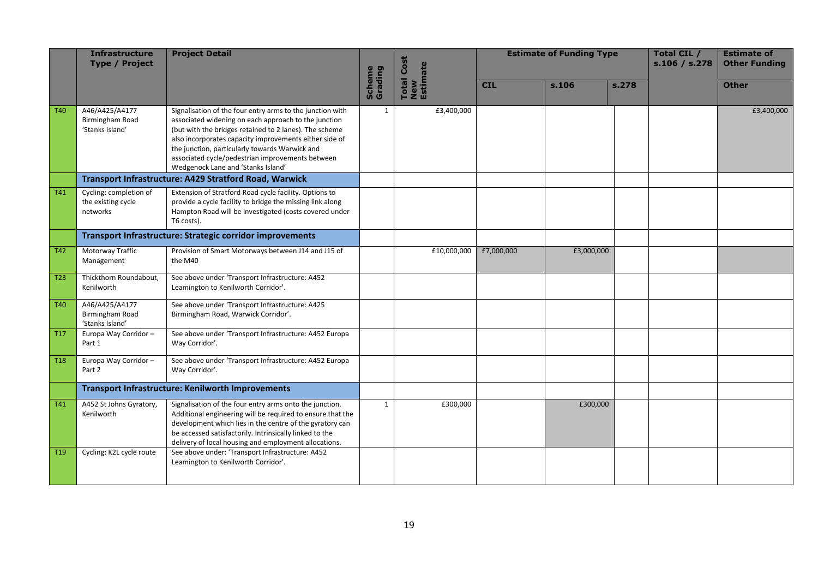|                 | <b>Infrastructure</b><br><b>Type / Project</b>           | <b>Project Detail</b>                                                                                                                                                                                                                                                                                                                                                             |                          | <b>Total Cost</b> |            | <b>Estimate of Funding Type</b> |       | Total CIL /<br>s.106 / s.278 | <b>Estimate of</b><br><b>Other Funding</b> |
|-----------------|----------------------------------------------------------|-----------------------------------------------------------------------------------------------------------------------------------------------------------------------------------------------------------------------------------------------------------------------------------------------------------------------------------------------------------------------------------|--------------------------|-------------------|------------|---------------------------------|-------|------------------------------|--------------------------------------------|
|                 |                                                          |                                                                                                                                                                                                                                                                                                                                                                                   | <b>Scheme</b><br>Grading | New<br>Estimate   | <b>CIL</b> | s.106                           | s.278 |                              | <b>Other</b>                               |
| T <sub>40</sub> | A46/A425/A4177<br>Birmingham Road<br>'Stanks Island'     | Signalisation of the four entry arms to the junction with<br>associated widening on each approach to the junction<br>(but with the bridges retained to 2 lanes). The scheme<br>also incorporates capacity improvements either side of<br>the junction, particularly towards Warwick and<br>associated cycle/pedestrian improvements between<br>Wedgenock Lane and 'Stanks Island' | 1                        | £3,400,000        |            |                                 |       |                              | £3,400,000                                 |
|                 |                                                          | Transport Infrastructure: A429 Stratford Road, Warwick                                                                                                                                                                                                                                                                                                                            |                          |                   |            |                                 |       |                              |                                            |
| <b>T41</b>      | Cycling: completion of<br>the existing cycle<br>networks | Extension of Stratford Road cycle facility. Options to<br>provide a cycle facility to bridge the missing link along<br>Hampton Road will be investigated (costs covered under<br>T6 costs).                                                                                                                                                                                       |                          |                   |            |                                 |       |                              |                                            |
|                 |                                                          | Transport Infrastructure: Strategic corridor improvements                                                                                                                                                                                                                                                                                                                         |                          |                   |            |                                 |       |                              |                                            |
| <b>T42</b>      | Motorway Traffic<br>Management                           | Provision of Smart Motorways between J14 and J15 of<br>the M40                                                                                                                                                                                                                                                                                                                    |                          | £10,000,000       | £7,000,000 | £3,000,000                      |       |                              |                                            |
| T <sub>23</sub> | Thickthorn Roundabout,<br>Kenilworth                     | See above under 'Transport Infrastructure: A452<br>Leamington to Kenilworth Corridor'.                                                                                                                                                                                                                                                                                            |                          |                   |            |                                 |       |                              |                                            |
| T40             | A46/A425/A4177<br>Birmingham Road<br>'Stanks Island'     | See above under 'Transport Infrastructure: A425<br>Birmingham Road, Warwick Corridor'.                                                                                                                                                                                                                                                                                            |                          |                   |            |                                 |       |                              |                                            |
| <b>T17</b>      | Europa Way Corridor-<br>Part 1                           | See above under 'Transport Infrastructure: A452 Europa<br>Way Corridor'.                                                                                                                                                                                                                                                                                                          |                          |                   |            |                                 |       |                              |                                            |
| T <sub>18</sub> | Europa Way Corridor-<br>Part 2                           | See above under 'Transport Infrastructure: A452 Europa<br>Way Corridor'.                                                                                                                                                                                                                                                                                                          |                          |                   |            |                                 |       |                              |                                            |
|                 |                                                          | <b>Transport Infrastructure: Kenilworth Improvements</b>                                                                                                                                                                                                                                                                                                                          |                          |                   |            |                                 |       |                              |                                            |
| T41             | A452 St Johns Gyratory,<br>Kenilworth                    | Signalisation of the four entry arms onto the junction.<br>Additional engineering will be required to ensure that the<br>development which lies in the centre of the gyratory can<br>be accessed satisfactorily. Intrinsically linked to the<br>delivery of local housing and employment allocations.                                                                             | $\mathbf{1}$             | £300,000          |            | £300,000                        |       |                              |                                            |
| T <sub>19</sub> | Cycling: K2L cycle route                                 | See above under: 'Transport Infrastructure: A452<br>Leamington to Kenilworth Corridor'.                                                                                                                                                                                                                                                                                           |                          |                   |            |                                 |       |                              |                                            |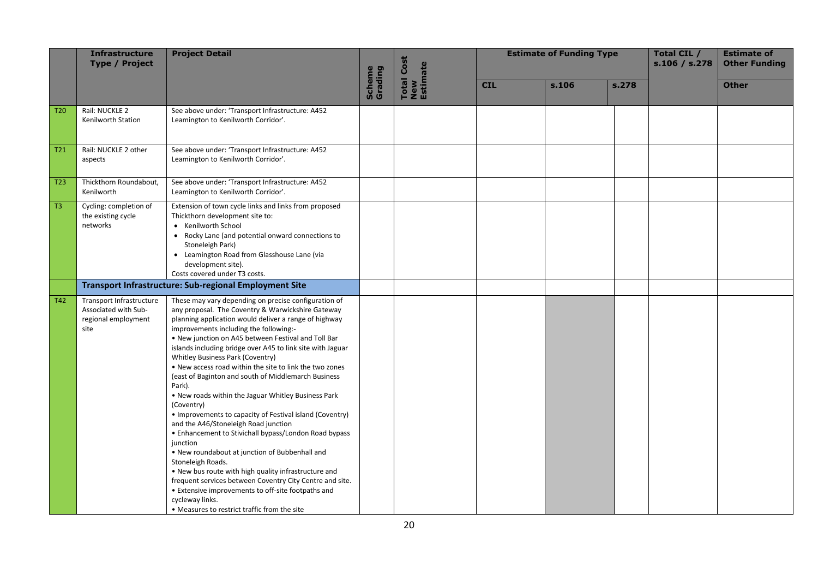|                 | <b>Infrastructure</b><br><b>Type / Project</b>                                  | <b>Project Detail</b>                                                                                                                                                                                                                                                                                                                                                                                                                                                                                                                                                                                                                                                                                                                                                                                                                                                                                                                                                                                                                                               |                   | <b>Total Cost</b> |            | <b>Estimate of Funding Type</b> |       | Total CIL /<br>s.106 / s.278 | <b>Estimate of</b><br><b>Other Funding</b> |
|-----------------|---------------------------------------------------------------------------------|---------------------------------------------------------------------------------------------------------------------------------------------------------------------------------------------------------------------------------------------------------------------------------------------------------------------------------------------------------------------------------------------------------------------------------------------------------------------------------------------------------------------------------------------------------------------------------------------------------------------------------------------------------------------------------------------------------------------------------------------------------------------------------------------------------------------------------------------------------------------------------------------------------------------------------------------------------------------------------------------------------------------------------------------------------------------|-------------------|-------------------|------------|---------------------------------|-------|------------------------------|--------------------------------------------|
|                 |                                                                                 |                                                                                                                                                                                                                                                                                                                                                                                                                                                                                                                                                                                                                                                                                                                                                                                                                                                                                                                                                                                                                                                                     | Scheme<br>Grading | New<br>Estimate   | <b>CIL</b> | s.106                           | s.278 |                              | <b>Other</b>                               |
| T <sub>20</sub> | Rail: NUCKLE 2<br>Kenilworth Station                                            | See above under: 'Transport Infrastructure: A452<br>Leamington to Kenilworth Corridor'.                                                                                                                                                                                                                                                                                                                                                                                                                                                                                                                                                                                                                                                                                                                                                                                                                                                                                                                                                                             |                   |                   |            |                                 |       |                              |                                            |
| T <sub>21</sub> | Rail: NUCKLE 2 other<br>aspects                                                 | See above under: 'Transport Infrastructure: A452<br>Leamington to Kenilworth Corridor'.                                                                                                                                                                                                                                                                                                                                                                                                                                                                                                                                                                                                                                                                                                                                                                                                                                                                                                                                                                             |                   |                   |            |                                 |       |                              |                                            |
| T <sub>23</sub> | Thickthorn Roundabout,<br>Kenilworth                                            | See above under: 'Transport Infrastructure: A452<br>Leamington to Kenilworth Corridor'.                                                                                                                                                                                                                                                                                                                                                                                                                                                                                                                                                                                                                                                                                                                                                                                                                                                                                                                                                                             |                   |                   |            |                                 |       |                              |                                            |
| T <sub>3</sub>  | Cycling: completion of<br>the existing cycle<br>networks                        | Extension of town cycle links and links from proposed<br>Thickthorn development site to:<br>• Kenilworth School<br>• Rocky Lane (and potential onward connections to<br>Stoneleigh Park)<br>• Leamington Road from Glasshouse Lane (via<br>development site).<br>Costs covered under T3 costs.                                                                                                                                                                                                                                                                                                                                                                                                                                                                                                                                                                                                                                                                                                                                                                      |                   |                   |            |                                 |       |                              |                                            |
|                 |                                                                                 | <b>Transport Infrastructure: Sub-regional Employment Site</b>                                                                                                                                                                                                                                                                                                                                                                                                                                                                                                                                                                                                                                                                                                                                                                                                                                                                                                                                                                                                       |                   |                   |            |                                 |       |                              |                                            |
| T42             | Transport Infrastructure<br>Associated with Sub-<br>regional employment<br>site | These may vary depending on precise configuration of<br>any proposal. The Coventry & Warwickshire Gateway<br>planning application would deliver a range of highway<br>improvements including the following:-<br>. New junction on A45 between Festival and Toll Bar<br>islands including bridge over A45 to link site with Jaguar<br>Whitley Business Park (Coventry)<br>. New access road within the site to link the two zones<br>(east of Baginton and south of Middlemarch Business<br>Park).<br>. New roads within the Jaguar Whitley Business Park<br>(Coventry)<br>• Improvements to capacity of Festival island (Coventry)<br>and the A46/Stoneleigh Road junction<br>• Enhancement to Stivichall bypass/London Road bypass<br>junction<br>. New roundabout at junction of Bubbenhall and<br>Stoneleigh Roads.<br>. New bus route with high quality infrastructure and<br>frequent services between Coventry City Centre and site.<br>• Extensive improvements to off-site footpaths and<br>cycleway links.<br>• Measures to restrict traffic from the site |                   |                   |            |                                 |       |                              |                                            |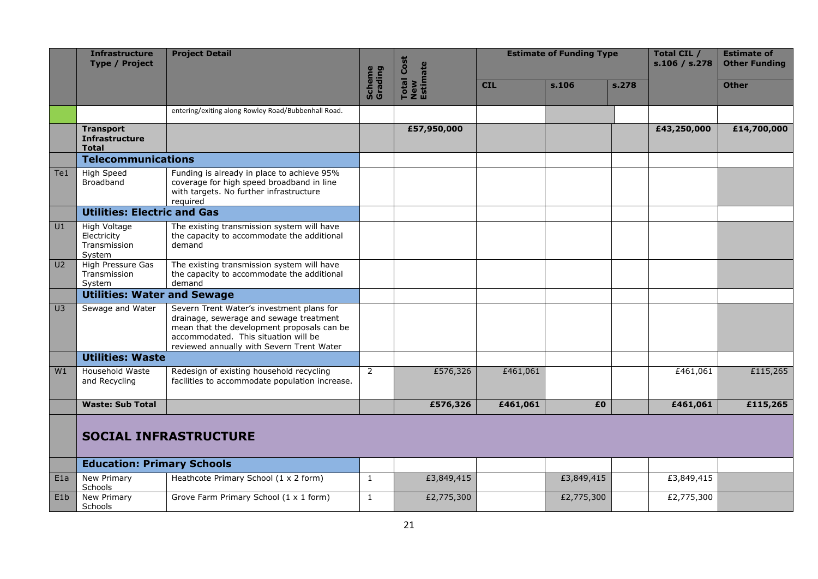|                | Infrastructure<br><b>Project Detail</b><br><b>Type / Project</b> |                                                                                                                                                                                                                         |                   | <b>Total Cost</b><br>New<br>Estimate |            | <b>Estimate of Funding Type</b> |       | Total CIL /<br>s.106 / s.278 | <b>Estimate of</b><br><b>Other Funding</b> |
|----------------|------------------------------------------------------------------|-------------------------------------------------------------------------------------------------------------------------------------------------------------------------------------------------------------------------|-------------------|--------------------------------------|------------|---------------------------------|-------|------------------------------|--------------------------------------------|
|                |                                                                  |                                                                                                                                                                                                                         | Scheme<br>Grading |                                      | <b>CIL</b> | s.106                           | s.278 |                              | <b>Other</b>                               |
|                |                                                                  | entering/exiting along Rowley Road/Bubbenhall Road.                                                                                                                                                                     |                   |                                      |            |                                 |       |                              |                                            |
|                | <b>Transport</b><br><b>Infrastructure</b><br><b>Total</b>        |                                                                                                                                                                                                                         |                   | £57,950,000                          |            |                                 |       | £43,250,000                  | £14,700,000                                |
|                | <b>Telecommunications</b>                                        |                                                                                                                                                                                                                         |                   |                                      |            |                                 |       |                              |                                            |
| Te1            | High Speed<br><b>Broadband</b>                                   | Funding is already in place to achieve 95%<br>coverage for high speed broadband in line<br>with targets. No further infrastructure<br>required                                                                          |                   |                                      |            |                                 |       |                              |                                            |
|                | <b>Utilities: Electric and Gas</b>                               |                                                                                                                                                                                                                         |                   |                                      |            |                                 |       |                              |                                            |
| U1             | High Voltage<br>Electricity<br>Transmission<br>System            | The existing transmission system will have<br>the capacity to accommodate the additional<br>demand                                                                                                                      |                   |                                      |            |                                 |       |                              |                                            |
| U <sub>2</sub> | High Pressure Gas<br>Transmission<br>System                      | The existing transmission system will have<br>the capacity to accommodate the additional<br>demand                                                                                                                      |                   |                                      |            |                                 |       |                              |                                            |
|                | <b>Utilities: Water and Sewage</b>                               |                                                                                                                                                                                                                         |                   |                                      |            |                                 |       |                              |                                            |
| U3             | Sewage and Water                                                 | Severn Trent Water's investment plans for<br>drainage, sewerage and sewage treatment<br>mean that the development proposals can be<br>accommodated. This situation will be<br>reviewed annually with Severn Trent Water |                   |                                      |            |                                 |       |                              |                                            |
|                | <b>Utilities: Waste</b>                                          |                                                                                                                                                                                                                         |                   |                                      |            |                                 |       |                              |                                            |
| W1             | Household Waste<br>and Recycling                                 | Redesign of existing household recycling<br>facilities to accommodate population increase.                                                                                                                              | 2                 | £576,326                             | £461,061   |                                 |       | £461,061                     | £115,265                                   |
|                | <b>Waste: Sub Total</b>                                          |                                                                                                                                                                                                                         |                   | £576,326                             | £461,061   | £0                              |       | £461,061                     | £115,265                                   |
|                |                                                                  | <b>SOCIAL INFRASTRUCTURE</b>                                                                                                                                                                                            |                   |                                      |            |                                 |       |                              |                                            |
|                | <b>Education: Primary Schools</b>                                |                                                                                                                                                                                                                         |                   |                                      |            |                                 |       |                              |                                            |
| E1a            | New Primary<br>Schools                                           | Heathcote Primary School (1 x 2 form)                                                                                                                                                                                   | $\mathbf{1}$      | £3,849,415                           |            | £3,849,415                      |       | £3,849,415                   |                                            |
| E1b            | New Primary<br>Schools                                           | Grove Farm Primary School (1 x 1 form)                                                                                                                                                                                  | 1                 | £2,775,300                           |            | £2,775,300                      |       | £2,775,300                   |                                            |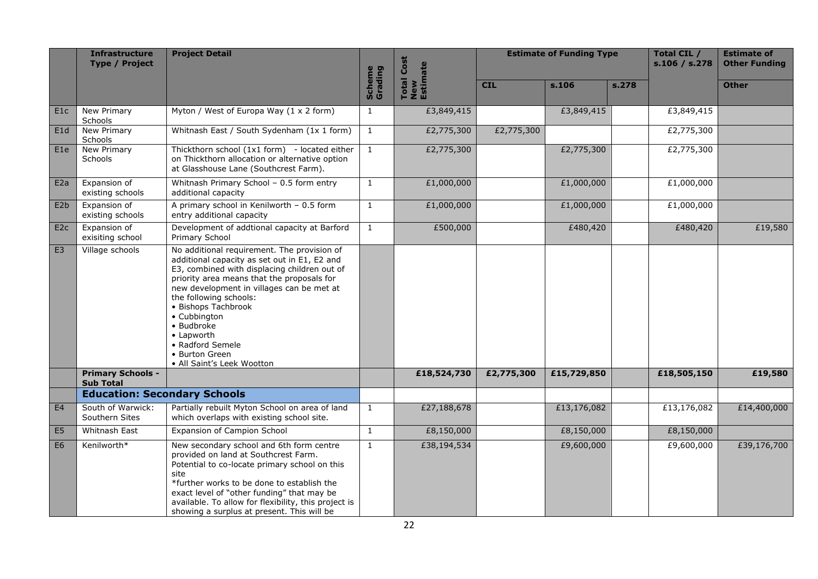|                  | <b>Infrastructure</b><br><b>Type / Project</b> | <b>Project Detail</b>                                                                                                                                                                                                                                                                                                                                                                                   |                          | Cost<br>New<br>Estimate |            | <b>Estimate of Funding Type</b> |       | Total CIL /<br>s.106 / s.278 | <b>Estimate of</b><br><b>Other Funding</b> |
|------------------|------------------------------------------------|---------------------------------------------------------------------------------------------------------------------------------------------------------------------------------------------------------------------------------------------------------------------------------------------------------------------------------------------------------------------------------------------------------|--------------------------|-------------------------|------------|---------------------------------|-------|------------------------------|--------------------------------------------|
|                  |                                                |                                                                                                                                                                                                                                                                                                                                                                                                         | <b>Scheme</b><br>Grading | <b>Total</b>            | <b>CIL</b> | s.106                           | s.278 |                              | <b>Other</b>                               |
| E1c              | New Primary<br><b>Schools</b>                  | Myton / West of Europa Way (1 x 2 form)                                                                                                                                                                                                                                                                                                                                                                 | $\mathbf{1}$             | £3,849,415              |            | £3,849,415                      |       | £3,849,415                   |                                            |
| E1d              | New Primary<br>Schools                         | Whitnash East / South Sydenham (1x 1 form)                                                                                                                                                                                                                                                                                                                                                              | $\mathbf{1}$             | £2,775,300              | £2,775,300 |                                 |       | £2,775,300                   |                                            |
| E <sub>1e</sub>  | New Primary<br><b>Schools</b>                  | Thickthorn school (1x1 form) - located either<br>on Thickthorn allocation or alternative option<br>at Glasshouse Lane (Southcrest Farm).                                                                                                                                                                                                                                                                | $\mathbf{1}$             | £2,775,300              |            | £2,775,300                      |       | £2,775,300                   |                                            |
| E2a              | Expansion of<br>existing schools               | Whitnash Primary School - 0.5 form entry<br>additional capacity                                                                                                                                                                                                                                                                                                                                         | $\mathbf{1}$             | £1,000,000              |            | £1,000,000                      |       | £1,000,000                   |                                            |
| E <sub>2</sub> b | Expansion of<br>existing schools               | A primary school in Kenilworth - 0.5 form<br>entry additional capacity                                                                                                                                                                                                                                                                                                                                  | $\mathbf{1}$             | £1,000,000              |            | £1,000,000                      |       | £1,000,000                   |                                            |
| E <sub>2c</sub>  | Expansion of<br>exisiting school               | Development of addtional capacity at Barford<br>Primary School                                                                                                                                                                                                                                                                                                                                          | $\mathbf{1}$             | £500,000                |            | £480,420                        |       | £480,420                     | £19,580                                    |
| E <sub>3</sub>   | Village schools                                | No additional requirement. The provision of<br>additional capacity as set out in E1, E2 and<br>E3, combined with displacing children out of<br>priority area means that the proposals for<br>new development in villages can be met at<br>the following schools:<br>• Bishops Tachbrook<br>• Cubbington<br>• Budbroke<br>• Lapworth<br>• Radford Semele<br>• Burton Green<br>• All Saint's Leek Wootton |                          |                         |            |                                 |       |                              |                                            |
|                  | <b>Primary Schools -</b><br><b>Sub Total</b>   |                                                                                                                                                                                                                                                                                                                                                                                                         |                          | £18,524,730             | £2,775,300 | £15,729,850                     |       | £18,505,150                  | £19,580                                    |
|                  | <b>Education: Secondary Schools</b>            |                                                                                                                                                                                                                                                                                                                                                                                                         |                          |                         |            |                                 |       |                              |                                            |
| E4               | South of Warwick:<br>Southern Sites            | Partially rebuilt Myton School on area of land<br>which overlaps with existing school site.                                                                                                                                                                                                                                                                                                             | $\mathbf{1}$             | £27,188,678             |            | £13,176,082                     |       | £13,176,082                  | £14,400,000                                |
| E <sub>5</sub>   | Whitnash East                                  | Expansion of Campion School                                                                                                                                                                                                                                                                                                                                                                             | $\mathbf{1}$             | £8,150,000              |            | £8,150,000                      |       | £8,150,000                   |                                            |
| E <sub>6</sub>   | Kenilworth*                                    | New secondary school and 6th form centre<br>provided on land at Southcrest Farm.<br>Potential to co-locate primary school on this<br>site<br>*further works to be done to establish the<br>exact level of "other funding" that may be<br>available. To allow for flexibility, this project is<br>showing a surplus at present. This will be                                                             | $\mathbf{1}$             | £38,194,534             |            | £9,600,000                      |       | £9,600,000                   | £39,176,700                                |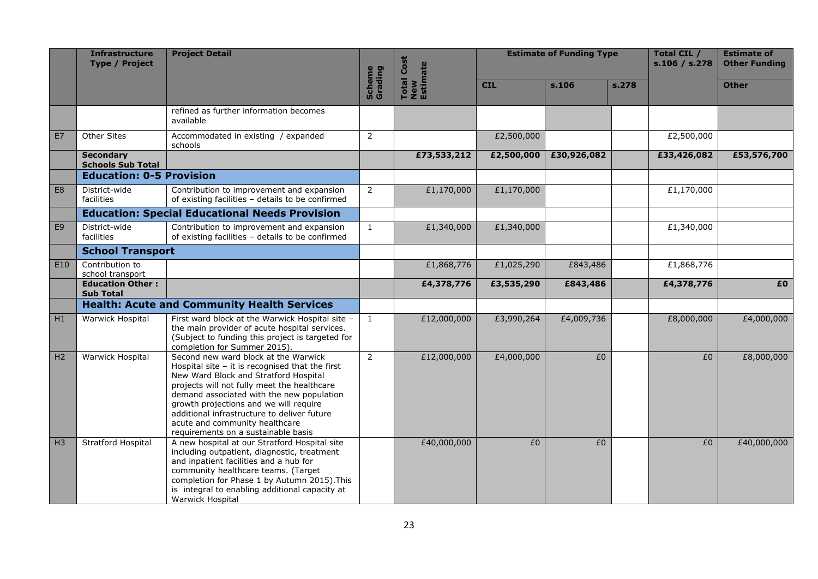|                | <b>Infrastructure</b><br><b>Type / Project</b> | <b>Project Detail</b>                                                                                                                                                                                                                                                                                                                                                                            |                   | Total Cost<br>New<br>Estimate |            | <b>Estimate of Funding Type</b> |       | Total CIL /<br>s.106 / s.278 | <b>Estimate of</b><br><b>Other Funding</b> |
|----------------|------------------------------------------------|--------------------------------------------------------------------------------------------------------------------------------------------------------------------------------------------------------------------------------------------------------------------------------------------------------------------------------------------------------------------------------------------------|-------------------|-------------------------------|------------|---------------------------------|-------|------------------------------|--------------------------------------------|
|                |                                                |                                                                                                                                                                                                                                                                                                                                                                                                  | Scheme<br>Grading |                               | <b>CIL</b> | s.106                           | s.278 |                              | <b>Other</b>                               |
|                |                                                | refined as further information becomes<br>available                                                                                                                                                                                                                                                                                                                                              |                   |                               |            |                                 |       |                              |                                            |
| E7             | Other Sites                                    | Accommodated in existing / expanded<br>schools                                                                                                                                                                                                                                                                                                                                                   | $\overline{2}$    |                               | £2,500,000 |                                 |       | £2,500,000                   |                                            |
|                | <b>Secondary</b><br><b>Schools Sub Total</b>   |                                                                                                                                                                                                                                                                                                                                                                                                  |                   | £73,533,212                   | £2,500,000 | £30,926,082                     |       | £33,426,082                  | £53,576,700                                |
|                | <b>Education: 0-5 Provision</b>                |                                                                                                                                                                                                                                                                                                                                                                                                  |                   |                               |            |                                 |       |                              |                                            |
| E8             | District-wide<br>facilities                    | Contribution to improvement and expansion<br>of existing facilities - details to be confirmed                                                                                                                                                                                                                                                                                                    | $\overline{2}$    | £1,170,000                    | £1,170,000 |                                 |       | £1,170,000                   |                                            |
|                |                                                | <b>Education: Special Educational Needs Provision</b>                                                                                                                                                                                                                                                                                                                                            |                   |                               |            |                                 |       |                              |                                            |
| E <sub>9</sub> | District-wide<br>facilities                    | Contribution to improvement and expansion<br>of existing facilities - details to be confirmed                                                                                                                                                                                                                                                                                                    | $\mathbf{1}$      | £1,340,000                    | £1,340,000 |                                 |       | £1,340,000                   |                                            |
|                | <b>School Transport</b>                        |                                                                                                                                                                                                                                                                                                                                                                                                  |                   |                               |            |                                 |       |                              |                                            |
| E10            | Contribution to<br>school transport            |                                                                                                                                                                                                                                                                                                                                                                                                  |                   | £1,868,776                    | £1,025,290 | £843,486                        |       | £1,868,776                   |                                            |
|                | <b>Education Other:</b><br><b>Sub Total</b>    |                                                                                                                                                                                                                                                                                                                                                                                                  |                   | £4,378,776                    | £3,535,290 | £843,486                        |       | £4,378,776                   | £0                                         |
|                |                                                | <b>Health: Acute and Community Health Services</b>                                                                                                                                                                                                                                                                                                                                               |                   |                               |            |                                 |       |                              |                                            |
| H1             | Warwick Hospital                               | First ward block at the Warwick Hospital site -<br>the main provider of acute hospital services.<br>(Subject to funding this project is targeted for<br>completion for Summer 2015).                                                                                                                                                                                                             | $\mathbf{1}$      | £12,000,000                   | £3,990,264 | £4,009,736                      |       | £8,000,000                   | £4,000,000                                 |
| H <sub>2</sub> | Warwick Hospital                               | Second new ward block at the Warwick<br>Hospital site $-$ it is recognised that the first<br>New Ward Block and Stratford Hospital<br>projects will not fully meet the healthcare<br>demand associated with the new population<br>growth projections and we will require<br>additional infrastructure to deliver future<br>acute and community healthcare<br>requirements on a sustainable basis | $\overline{2}$    | £12,000,000                   | £4,000,000 | £0                              |       | $E_0$                        | £8,000,000                                 |
| H <sub>3</sub> | Stratford Hospital                             | A new hospital at our Stratford Hospital site<br>including outpatient, diagnostic, treatment<br>and inpatient facilities and a hub for<br>community healthcare teams. (Target<br>completion for Phase 1 by Autumn 2015). This<br>is integral to enabling additional capacity at<br>Warwick Hospital                                                                                              |                   | £40,000,000                   | £0         | £0                              |       | £0                           | £40,000,000                                |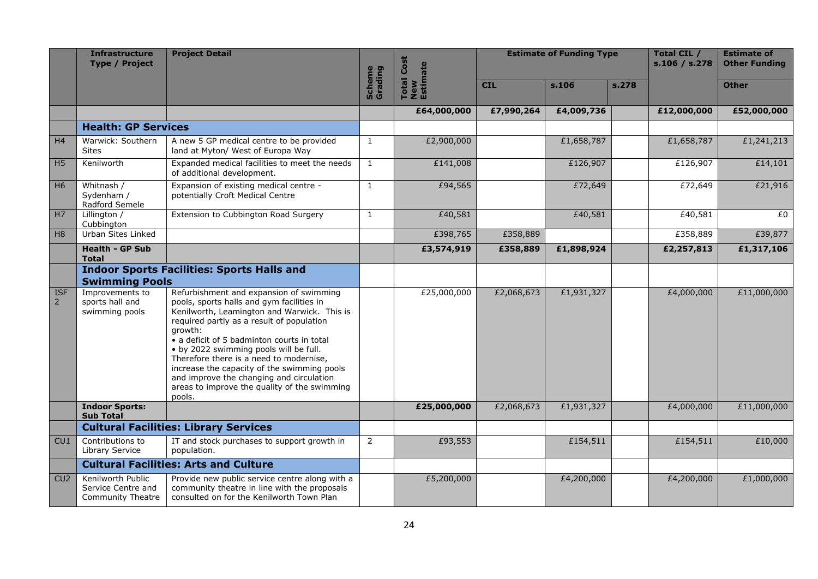|                           | <b>Infrastructure</b><br><b>Type / Project</b>                      | <b>Project Detail</b>                                                                                                                                                                                                                                                                                                                                                                                                                                                               |                   | <b>Total Cost</b><br>New<br>Estimate |            | <b>Estimate of Funding Type</b> |       | Total CIL /<br>s.106 / s.278 | <b>Estimate of</b><br><b>Other Funding</b> |
|---------------------------|---------------------------------------------------------------------|-------------------------------------------------------------------------------------------------------------------------------------------------------------------------------------------------------------------------------------------------------------------------------------------------------------------------------------------------------------------------------------------------------------------------------------------------------------------------------------|-------------------|--------------------------------------|------------|---------------------------------|-------|------------------------------|--------------------------------------------|
|                           |                                                                     |                                                                                                                                                                                                                                                                                                                                                                                                                                                                                     | Scheme<br>Grading |                                      | <b>CIL</b> | s.106                           | s.278 |                              | <b>Other</b>                               |
|                           |                                                                     |                                                                                                                                                                                                                                                                                                                                                                                                                                                                                     |                   | £64,000,000                          | £7,990,264 | £4,009,736                      |       | £12,000,000                  | £52,000,000                                |
|                           | <b>Health: GP Services</b>                                          |                                                                                                                                                                                                                                                                                                                                                                                                                                                                                     |                   |                                      |            |                                 |       |                              |                                            |
| H4                        | Warwick: Southern<br><b>Sites</b>                                   | A new 5 GP medical centre to be provided<br>land at Myton/ West of Europa Way                                                                                                                                                                                                                                                                                                                                                                                                       | $\mathbf{1}$      | £2,900,000                           |            | £1,658,787                      |       | £1,658,787                   | £1,241,213                                 |
| H <sub>5</sub>            | Kenilworth                                                          | Expanded medical facilities to meet the needs<br>of additional development.                                                                                                                                                                                                                                                                                                                                                                                                         | $\mathbf{1}$      | £141,008                             |            | £126,907                        |       | £126,907                     | £14,101                                    |
| H <sub>6</sub>            | Whitnash /<br>Sydenham /<br>Radford Semele                          | Expansion of existing medical centre -<br>potentially Croft Medical Centre                                                                                                                                                                                                                                                                                                                                                                                                          | $\mathbf{1}$      | £94,565                              |            | £72,649                         |       | £72,649                      | £21,916                                    |
| H7                        | Lillington /<br>Cubbington                                          | Extension to Cubbington Road Surgery                                                                                                                                                                                                                                                                                                                                                                                                                                                | $\mathbf{1}$      | £40,581                              |            | £40,581                         |       | £40,581                      | £0                                         |
| H <sub>8</sub>            | Urban Sites Linked                                                  |                                                                                                                                                                                                                                                                                                                                                                                                                                                                                     |                   | £398,765                             | £358,889   |                                 |       | £358,889                     | £39,877                                    |
|                           | <b>Health - GP Sub</b><br><b>Total</b>                              |                                                                                                                                                                                                                                                                                                                                                                                                                                                                                     |                   | £3,574,919                           | £358,889   | £1,898,924                      |       | £2,257,813                   | £1,317,106                                 |
|                           |                                                                     | <b>Indoor Sports Facilities: Sports Halls and</b>                                                                                                                                                                                                                                                                                                                                                                                                                                   |                   |                                      |            |                                 |       |                              |                                            |
|                           | <b>Swimming Pools</b>                                               |                                                                                                                                                                                                                                                                                                                                                                                                                                                                                     |                   |                                      |            |                                 |       |                              |                                            |
| <b>ISF</b><br>$2^{\circ}$ | Improvements to<br>sports hall and<br>swimming pools                | Refurbishment and expansion of swimming<br>pools, sports halls and gym facilities in<br>Kenilworth, Leamington and Warwick. This is<br>required partly as a result of population<br>arowth:<br>• a deficit of 5 badminton courts in total<br>• by 2022 swimming pools will be full.<br>Therefore there is a need to modernise,<br>increase the capacity of the swimming pools<br>and improve the changing and circulation<br>areas to improve the quality of the swimming<br>pools. |                   | £25,000,000                          | £2,068,673 | £1,931,327                      |       | £4,000,000                   | £11,000,000                                |
|                           | <b>Indoor Sports:</b><br><b>Sub Total</b>                           |                                                                                                                                                                                                                                                                                                                                                                                                                                                                                     |                   | £25,000,000                          | £2,068,673 | £1,931,327                      |       | £4,000,000                   | £11,000,000                                |
|                           |                                                                     | <b>Cultural Facilities: Library Services</b>                                                                                                                                                                                                                                                                                                                                                                                                                                        |                   |                                      |            |                                 |       |                              |                                            |
| CU1                       | Contributions to<br>Library Service                                 | IT and stock purchases to support growth in<br>population.                                                                                                                                                                                                                                                                                                                                                                                                                          | 2                 | £93,553                              |            | £154,511                        |       | £154,511                     | £10,000                                    |
|                           |                                                                     | <b>Cultural Facilities: Arts and Culture</b>                                                                                                                                                                                                                                                                                                                                                                                                                                        |                   |                                      |            |                                 |       |                              |                                            |
| CU2                       | Kenilworth Public<br>Service Centre and<br><b>Community Theatre</b> | Provide new public service centre along with a<br>community theatre in line with the proposals<br>consulted on for the Kenilworth Town Plan                                                                                                                                                                                                                                                                                                                                         |                   | £5,200,000                           |            | £4,200,000                      |       | £4,200,000                   | £1,000,000                                 |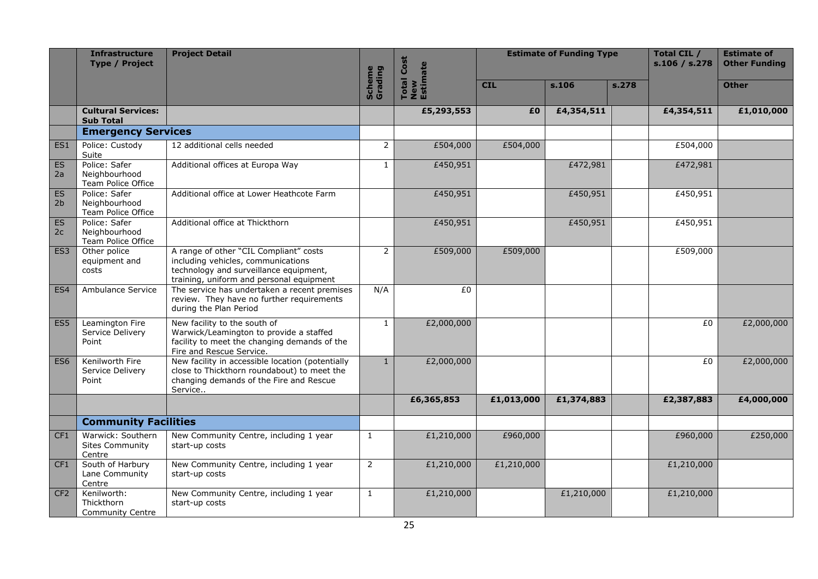|                      | Infrastructure<br><b>Type / Project</b>               | <b>Project Detail</b>                                                                                                                                              |                   | <b>Total Cost</b> | <b>Estimate of Funding Type</b> |            | <b>Total CIL /</b><br>s.106 / s.278 | <b>Estimate of</b><br><b>Other Funding</b> |              |
|----------------------|-------------------------------------------------------|--------------------------------------------------------------------------------------------------------------------------------------------------------------------|-------------------|-------------------|---------------------------------|------------|-------------------------------------|--------------------------------------------|--------------|
|                      |                                                       |                                                                                                                                                                    | Scheme<br>Grading | New<br>Estimate   | <b>CIL</b>                      | s.106      | s.278                               |                                            | <b>Other</b> |
|                      | <b>Cultural Services:</b><br><b>Sub Total</b>         |                                                                                                                                                                    |                   | £5,293,553        | £0                              | £4,354,511 |                                     | £4,354,511                                 | £1,010,000   |
|                      | <b>Emergency Services</b>                             |                                                                                                                                                                    |                   |                   |                                 |            |                                     |                                            |              |
| ES1                  | Police: Custody<br>Suite                              | 12 additional cells needed                                                                                                                                         | $\overline{2}$    | £504,000          | £504,000                        |            |                                     | £504,000                                   |              |
| <b>ES</b><br>2a      | Police: Safer<br>Neighbourhood<br>Team Police Office  | Additional offices at Europa Way                                                                                                                                   | $\mathbf{1}$      | £450,951          |                                 | £472,981   |                                     | £472,981                                   |              |
| ES<br>2 <sub>b</sub> | Police: Safer<br>Neighbourhood<br>Team Police Office  | Additional office at Lower Heathcote Farm                                                                                                                          |                   | £450,951          |                                 | £450,951   |                                     | £450,951                                   |              |
| ES<br>2c             | Police: Safer<br>Neighbourhood<br>Team Police Office  | Additional office at Thickthorn                                                                                                                                    |                   | £450,951          |                                 | £450,951   |                                     | £450,951                                   |              |
| ES <sub>3</sub>      | Other police<br>equipment and<br>costs                | A range of other "CIL Compliant" costs<br>including vehicles, communications<br>technology and surveillance equipment,<br>training, uniform and personal equipment | $\overline{2}$    | £509,000          | £509,000                        |            |                                     | £509,000                                   |              |
| ES4                  | Ambulance Service                                     | The service has undertaken a recent premises<br>review. They have no further requirements<br>during the Plan Period                                                | N/A               | £0                |                                 |            |                                     |                                            |              |
| ES <sub>5</sub>      | Leamington Fire<br>Service Delivery<br>Point          | New facility to the south of<br>Warwick/Leamington to provide a staffed<br>facility to meet the changing demands of the<br>Fire and Rescue Service.                | $\mathbf{1}$      | £2,000,000        |                                 |            |                                     | £0                                         | £2,000,000   |
| ES <sub>6</sub>      | Kenilworth Fire<br>Service Delivery<br>Point          | New facility in accessible location (potentially<br>close to Thickthorn roundabout) to meet the<br>changing demands of the Fire and Rescue<br>Service              | $\mathbf{1}$      | £2,000,000        |                                 |            |                                     | £0                                         | £2,000,000   |
|                      |                                                       |                                                                                                                                                                    |                   | £6,365,853        | £1,013,000                      | £1,374,883 |                                     | £2,387,883                                 | £4,000,000   |
|                      | <b>Community Facilities</b>                           |                                                                                                                                                                    |                   |                   |                                 |            |                                     |                                            |              |
| CF <sub>1</sub>      | Warwick: Southern<br><b>Sites Community</b><br>Centre | New Community Centre, including 1 year<br>start-up costs                                                                                                           | $\mathbf{1}$      | £1,210,000        | £960,000                        |            |                                     | £960,000                                   | £250,000     |
| CF <sub>1</sub>      | South of Harbury<br>Lane Community<br>Centre          | New Community Centre, including 1 year<br>start-up costs                                                                                                           | $\overline{2}$    | £1,210,000        | £1,210,000                      |            |                                     | £1,210,000                                 |              |
| CF <sub>2</sub>      | Kenilworth:<br>Thickthorn<br><b>Community Centre</b>  | New Community Centre, including 1 year<br>start-up costs                                                                                                           | $\mathbf{1}$      | £1,210,000        |                                 | £1,210,000 |                                     | £1,210,000                                 |              |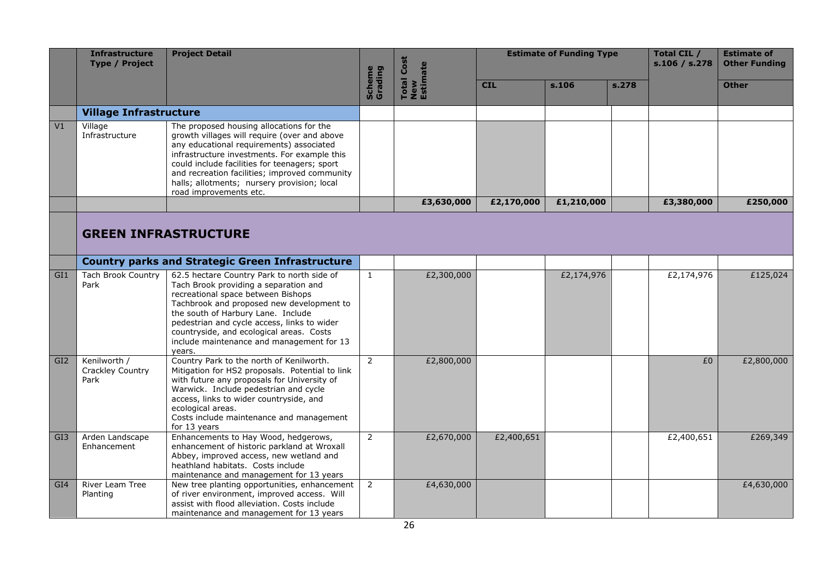|                 | <b>Infrastructure</b><br><b>Type / Project</b> | <b>Project Detail</b>                                                                                                                                                                                                                                                                                                                                           |                          | Cost<br>New<br>Estimate |            | <b>Estimate of Funding Type</b> |       | Total CIL /<br>s.106 / s.278 | <b>Estimate of</b><br><b>Other Funding</b> |
|-----------------|------------------------------------------------|-----------------------------------------------------------------------------------------------------------------------------------------------------------------------------------------------------------------------------------------------------------------------------------------------------------------------------------------------------------------|--------------------------|-------------------------|------------|---------------------------------|-------|------------------------------|--------------------------------------------|
|                 |                                                |                                                                                                                                                                                                                                                                                                                                                                 | <b>Scheme</b><br>Grading | <b>Total</b>            | <b>CIL</b> | s.106                           | s.278 |                              | <b>Other</b>                               |
|                 | <b>Village Infrastructure</b>                  |                                                                                                                                                                                                                                                                                                                                                                 |                          |                         |            |                                 |       |                              |                                            |
| V1              | Village<br>Infrastructure                      | The proposed housing allocations for the<br>growth villages will require (over and above<br>any educational requirements) associated<br>infrastructure investments. For example this<br>could include facilities for teenagers; sport<br>and recreation facilities; improved community<br>halls; allotments; nursery provision; local<br>road improvements etc. |                          |                         |            |                                 |       |                              |                                            |
|                 |                                                |                                                                                                                                                                                                                                                                                                                                                                 |                          | £3,630,000              | £2,170,000 | £1,210,000                      |       | £3,380,000                   | £250,000                                   |
|                 |                                                | <b>GREEN INFRASTRUCTURE</b>                                                                                                                                                                                                                                                                                                                                     |                          |                         |            |                                 |       |                              |                                            |
|                 |                                                | <b>Country parks and Strategic Green Infrastructure</b>                                                                                                                                                                                                                                                                                                         |                          |                         |            |                                 |       |                              |                                            |
| GI1             | <b>Tach Brook Country</b><br>Park              | 62.5 hectare Country Park to north side of<br>Tach Brook providing a separation and<br>recreational space between Bishops<br>Tachbrook and proposed new development to<br>the south of Harbury Lane. Include<br>pedestrian and cycle access, links to wider<br>countryside, and ecological areas. Costs<br>include maintenance and management for 13<br>years.  | $\mathbf{1}$             | £2,300,000              |            | £2,174,976                      |       | £2,174,976                   | £125,024                                   |
| GI <sub>2</sub> | Kenilworth /<br>Crackley Country<br>Park       | Country Park to the north of Kenilworth.<br>Mitigation for HS2 proposals. Potential to link<br>with future any proposals for University of<br>Warwick. Include pedestrian and cycle<br>access, links to wider countryside, and<br>ecological areas.<br>Costs include maintenance and management<br>for 13 years                                                 | $\overline{2}$           | £2,800,000              |            |                                 |       | £0                           | £2,800,000                                 |
| GI <sub>3</sub> | Arden Landscape<br>Enhancement                 | Enhancements to Hay Wood, hedgerows,<br>enhancement of historic parkland at Wroxall<br>Abbey, improved access, new wetland and<br>heathland habitats. Costs include<br>maintenance and management for 13 years                                                                                                                                                  | $\overline{2}$           | £2,670,000              | £2,400,651 |                                 |       | £2,400,651                   | £269,349                                   |
| GI <sub>4</sub> | River Leam Tree<br>Planting                    | New tree planting opportunities, enhancement<br>of river environment, improved access. Will<br>assist with flood alleviation. Costs include<br>maintenance and management for 13 years                                                                                                                                                                          | $\overline{2}$           | £4,630,000              |            |                                 |       |                              | £4,630,000                                 |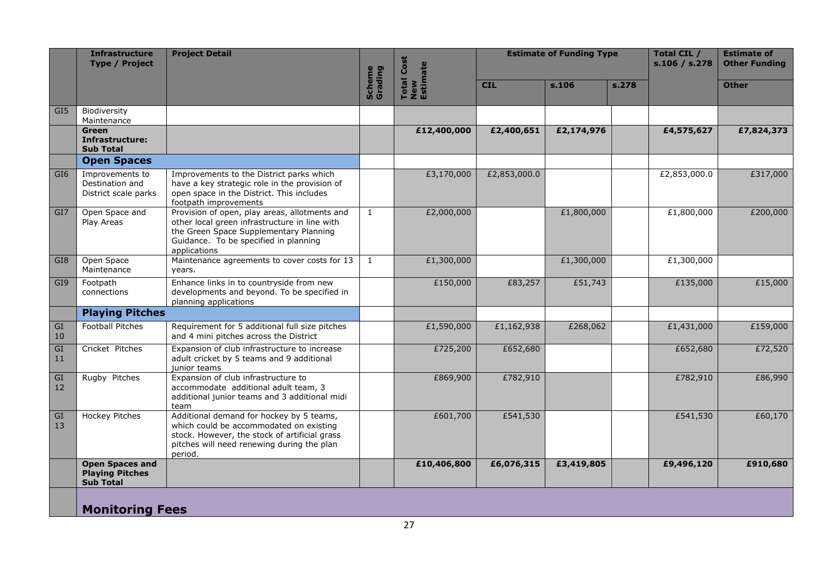|                 | <b>Infrastructure</b><br><b>Type / Project</b>                       | <b>Project Detail</b>                                                                                                                                                                             |                   | <b>Total Cost</b><br>New<br>Estimate |              | <b>Estimate of Funding Type</b> |       | Total CIL /<br>s.106 / s.278 | <b>Estimate of</b><br><b>Other Funding</b> |
|-----------------|----------------------------------------------------------------------|---------------------------------------------------------------------------------------------------------------------------------------------------------------------------------------------------|-------------------|--------------------------------------|--------------|---------------------------------|-------|------------------------------|--------------------------------------------|
|                 |                                                                      |                                                                                                                                                                                                   | Scheme<br>Grading |                                      | <b>CIL</b>   | s.106                           | s.278 |                              | <b>Other</b>                               |
| GI <sub>5</sub> | Biodiversity<br>Maintenance                                          |                                                                                                                                                                                                   |                   |                                      |              |                                 |       |                              |                                            |
|                 | Green<br>Infrastructure:<br><b>Sub Total</b>                         |                                                                                                                                                                                                   |                   | £12,400,000                          | £2,400,651   | £2,174,976                      |       | £4,575,627                   | £7,824,373                                 |
|                 | <b>Open Spaces</b>                                                   |                                                                                                                                                                                                   |                   |                                      |              |                                 |       |                              |                                            |
| GI <sub>6</sub> | Improvements to<br>Destination and<br>District scale parks           | Improvements to the District parks which<br>have a key strategic role in the provision of<br>open space in the District. This includes<br>footpath improvements                                   |                   | £3,170,000                           | £2,853,000.0 |                                 |       | £2,853,000.0                 | £317,000                                   |
| GI <sub>7</sub> | Open Space and<br>Play Areas                                         | Provision of open, play areas, allotments and<br>other local green infrastructure in line with<br>the Green Space Supplementary Planning<br>Guidance. To be specified in planning<br>applications | $\mathbf{1}$      | £2,000,000                           |              | £1,800,000                      |       | £1,800,000                   | £200,000                                   |
| GI <sub>8</sub> | Open Space<br>Maintenance                                            | Maintenance agreements to cover costs for 13<br>years.                                                                                                                                            | $\mathbf{1}$      | £1,300,000                           |              | £1,300,000                      |       | £1,300,000                   |                                            |
| GI9             | Footpath<br>connections                                              | Enhance links in to countryside from new<br>developments and beyond. To be specified in<br>planning applications                                                                                  |                   | £150,000                             | £83,257      | £51,743                         |       | £135,000                     | £15,000                                    |
|                 | <b>Playing Pitches</b>                                               |                                                                                                                                                                                                   |                   |                                      |              |                                 |       |                              |                                            |
| GI<br>10        | <b>Football Pitches</b>                                              | Requirement for 5 additional full size pitches<br>and 4 mini pitches across the District                                                                                                          |                   | £1,590,000                           | £1,162,938   | £268,062                        |       | £1,431,000                   | £159,000                                   |
| GI<br>11        | Cricket Pitches                                                      | Expansion of club infrastructure to increase<br>adult cricket by 5 teams and 9 additional<br>junior teams                                                                                         |                   | £725,200                             | £652,680     |                                 |       | £652,680                     | £72,520                                    |
| GI<br>12        | Rugby Pitches                                                        | Expansion of club infrastructure to<br>accommodate additional adult team, 3<br>additional junior teams and 3 additional midi<br>team                                                              |                   | £869,900                             | £782,910     |                                 |       | £782,910                     | £86,990                                    |
| GI<br>13        | Hockey Pitches                                                       | Additional demand for hockey by 5 teams,<br>which could be accommodated on existing<br>stock. However, the stock of artificial grass<br>pitches will need renewing during the plan<br>period.     |                   | £601,700                             | £541,530     |                                 |       | £541,530                     | £60,170                                    |
|                 | <b>Open Spaces and</b><br><b>Playing Pitches</b><br><b>Sub Total</b> |                                                                                                                                                                                                   |                   | £10,406,800                          | £6,076,315   | £3,419,805                      |       | £9,496,120                   | £910,680                                   |
|                 | <b>Monitoring Fees</b>                                               |                                                                                                                                                                                                   |                   |                                      |              |                                 |       |                              |                                            |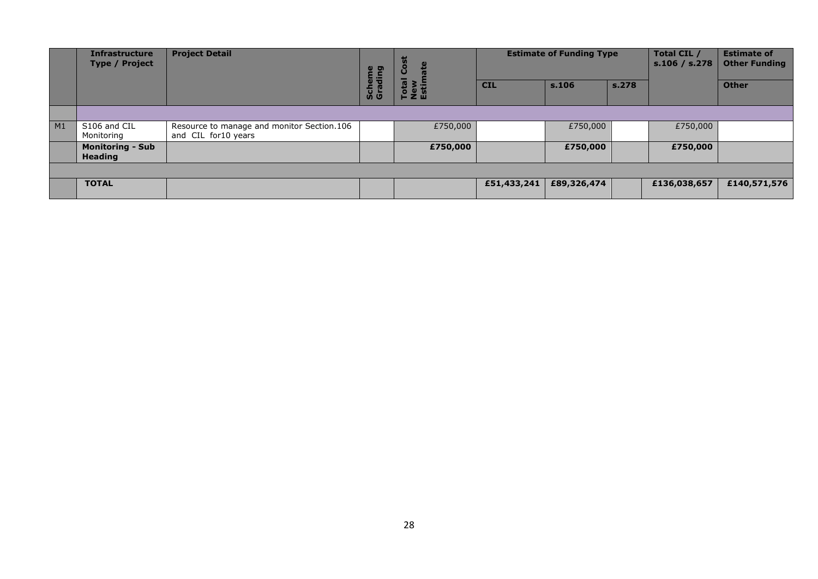|    | <b>Infrastructure</b><br><b>Type / Project</b> | <b>Project Detail</b>                                             |                   | 而<br>Ö,               |             | <b>Estimate of Funding Type</b> |       | Total CIL /<br>s.106 / s.278 | <b>Estimate of</b><br><b>Other Funding</b> |
|----|------------------------------------------------|-------------------------------------------------------------------|-------------------|-----------------------|-------------|---------------------------------|-------|------------------------------|--------------------------------------------|
|    |                                                |                                                                   | Scheme<br>Grading | Total<br>New<br>Estin | <b>CIL</b>  | s.106                           | s.278 |                              | <b>Other</b>                               |
|    |                                                |                                                                   |                   |                       |             |                                 |       |                              |                                            |
| M1 | S106 and CIL<br>Monitoring                     | Resource to manage and monitor Section.106<br>and CIL for10 years |                   | £750,000              |             | £750,000                        |       | £750,000                     |                                            |
|    | <b>Monitoring - Sub</b><br><b>Heading</b>      |                                                                   |                   | £750,000              |             | £750,000                        |       | £750,000                     |                                            |
|    |                                                |                                                                   |                   |                       |             |                                 |       |                              |                                            |
|    | <b>TOTAL</b>                                   |                                                                   |                   |                       | £51,433,241 | £89,326,474                     |       | £136,038,657                 | £140,571,576                               |